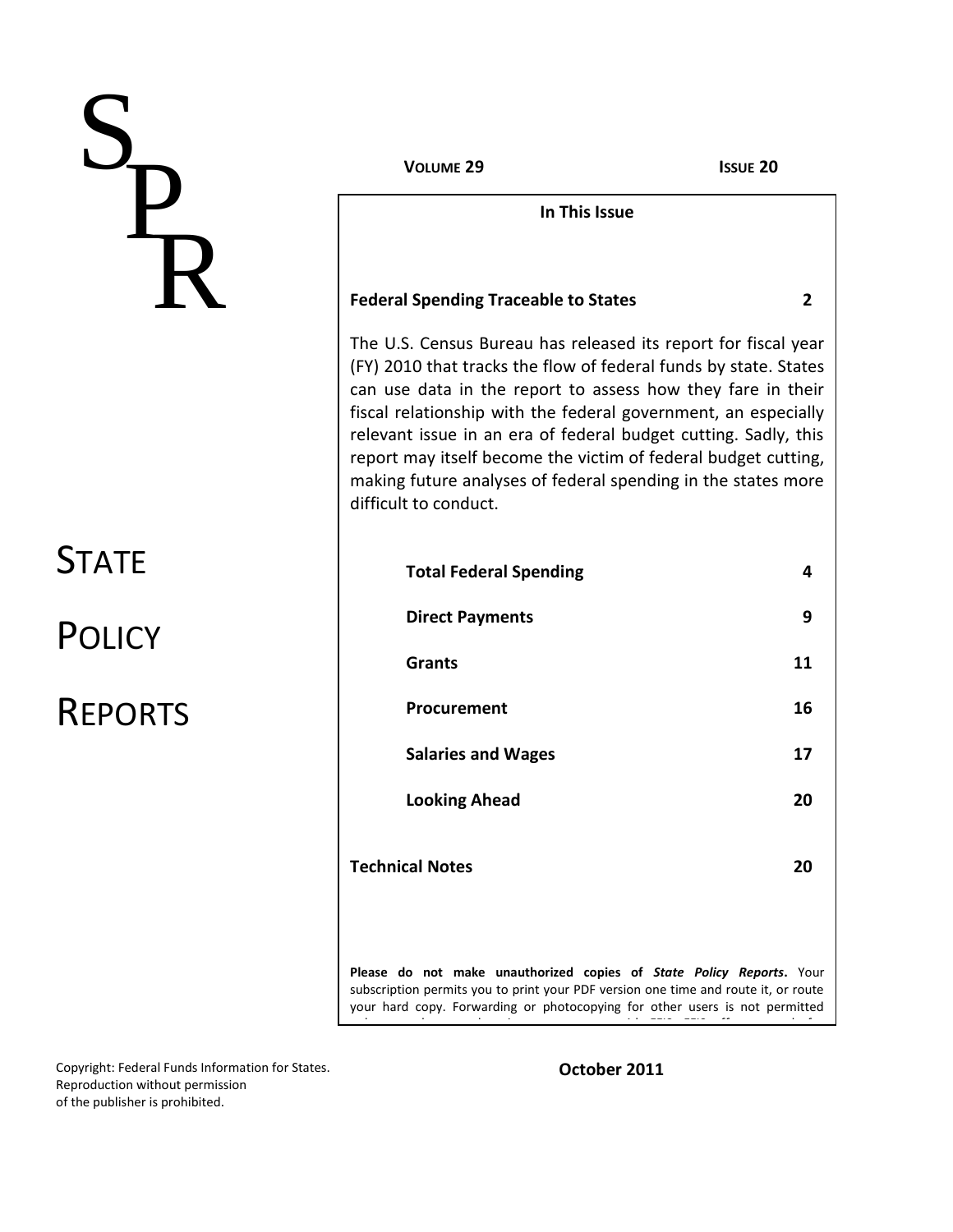# S **P** ® R

**STATE** 

**POLICY** 

REPORTS

**VOLUME 29 ISSUE 20**

**In This Issue**

### **Federal Spending Traceable to States 2**

The U.S. Census Bureau has released its report for fiscal year (FY) 2010 that tracks the flow of federal funds by state. States can use data in the report to assess how they fare in their fiscal relationship with the federal government, an especially relevant issue in an era of federal budget cutting. Sadly, this report may itself become the victim of federal budget cutting, making future analyses of federal spending in the states more difficult to conduct.

| <b>Total Federal Spending</b> | 4  |
|-------------------------------|----|
| <b>Direct Payments</b>        | 9  |
| <b>Grants</b>                 | 11 |
| Procurement                   | 16 |
| <b>Salaries and Wages</b>     | 17 |
| <b>Looking Ahead</b>          | 20 |
| <b>Technical Notes</b>        | 20 |
|                               |    |

**Please do not make unauthorized copies of** *State Policy Reports***.** Your subscription permits you to print your PDF version one time and route it, or route your hard copy. Forwarding or photocopying for other users is not permitted unless you have made prior arrangements with FFIS. FFIS. FFIS of experiments with FFIS. FFIS of experiments for<br>The film FIS. FFIS of experiments with FFIS. FFIS of experiments with FFIS. FFIS of experiments with the film

Copyright: Federal Funds Information for States. Reproduction without permission of the publisher is prohibited.

**October 2011**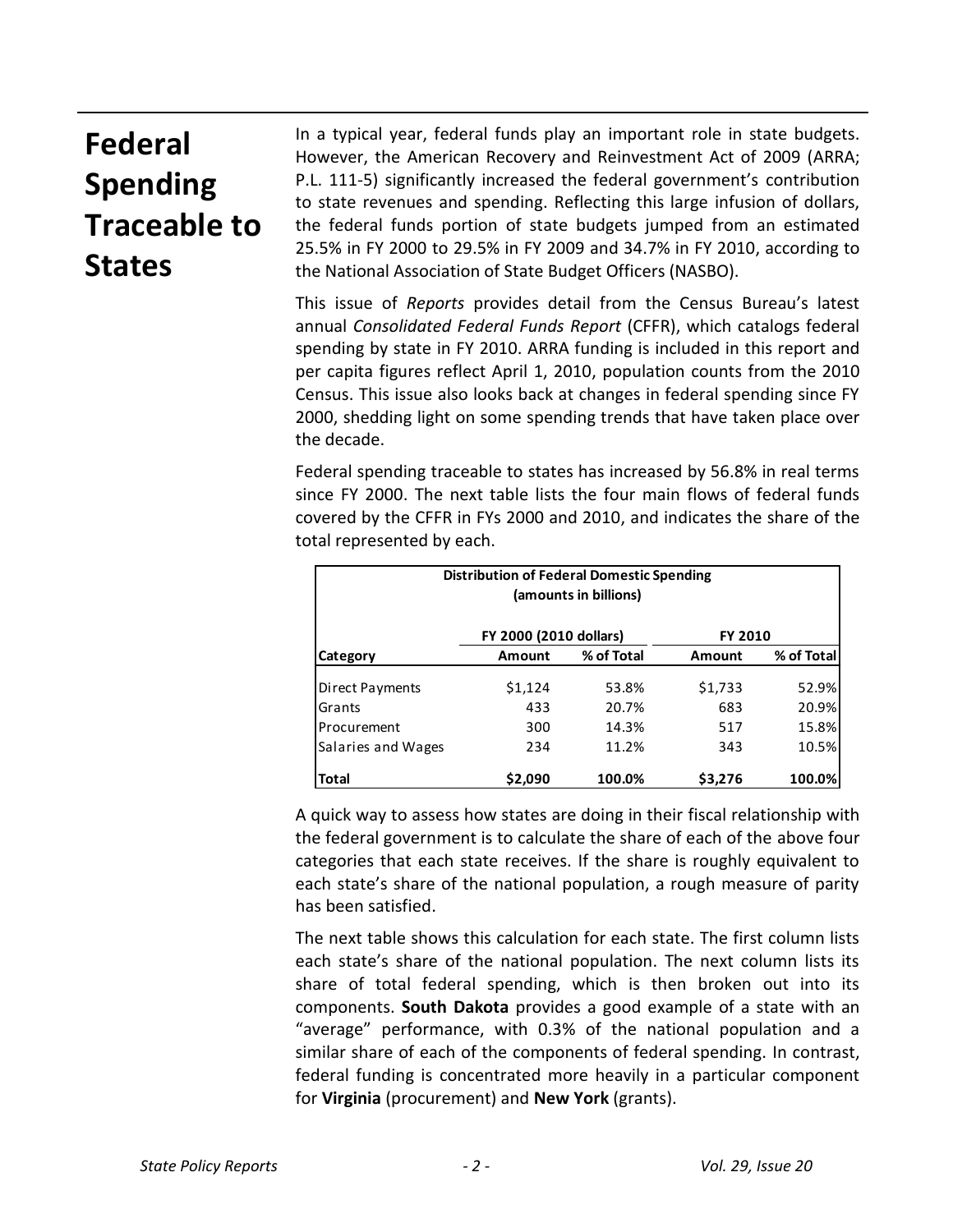# **Federal Spending Traceable to States**

In a typical year, federal funds play an important role in state budgets. However, the American Recovery and Reinvestment Act of 2009 (ARRA; P.L. 111-5) significantly increased the federal government's contribution to state revenues and spending. Reflecting this large infusion of dollars, the federal funds portion of state budgets jumped from an estimated 25.5% in FY 2000 to 29.5% in FY 2009 and 34.7% in FY 2010, according to the National Association of State Budget Officers (NASBO).

This issue of *Reports* provides detail from the Census Bureau's latest annual *Consolidated Federal Funds Report* (CFFR), which catalogs federal spending by state in FY 2010. ARRA funding is included in this report and per capita figures reflect April 1, 2010, population counts from the 2010 Census. This issue also looks back at changes in federal spending since FY 2000, shedding light on some spending trends that have taken place over the decade.

Federal spending traceable to states has increased by 56.8% in real terms since FY 2000. The next table lists the four main flows of federal funds covered by the CFFR in FYs 2000 and 2010, and indicates the share of the total represented by each.

| <b>Distribution of Federal Domestic Spending</b><br>(amounts in billions) |                        |            |               |            |  |  |
|---------------------------------------------------------------------------|------------------------|------------|---------------|------------|--|--|
|                                                                           | FY 2000 (2010 dollars) |            | FY 2010       |            |  |  |
| <b>Category</b>                                                           | Amount                 | % of Total | <b>Amount</b> | % of Total |  |  |
| Direct Payments                                                           | \$1,124                | 53.8%      | \$1,733       | 52.9%      |  |  |
| Grants                                                                    | 433                    | 20.7%      | 683           | 20.9%      |  |  |
| Procurement                                                               | 300                    | 14.3%      | 517           | 15.8%      |  |  |
| Salaries and Wages                                                        | 234                    | 11.2%      | 343           | 10.5%      |  |  |
| <b>Total</b>                                                              | \$2,090                | 100.0%     | \$3,276       | 100.0%     |  |  |

A quick way to assess how states are doing in their fiscal relationship with the federal government is to calculate the share of each of the above four categories that each state receives. If the share is roughly equivalent to each state's share of the national population, a rough measure of parity has been satisfied.

The next table shows this calculation for each state. The first column lists each state's share of the national population. The next column lists its share of total federal spending, which is then broken out into its components. **South Dakota** provides a good example of a state with an "average" performance, with 0.3% of the national population and a similar share of each of the components of federal spending. In contrast, federal funding is concentrated more heavily in a particular component for **Virginia** (procurement) and **New York** (grants).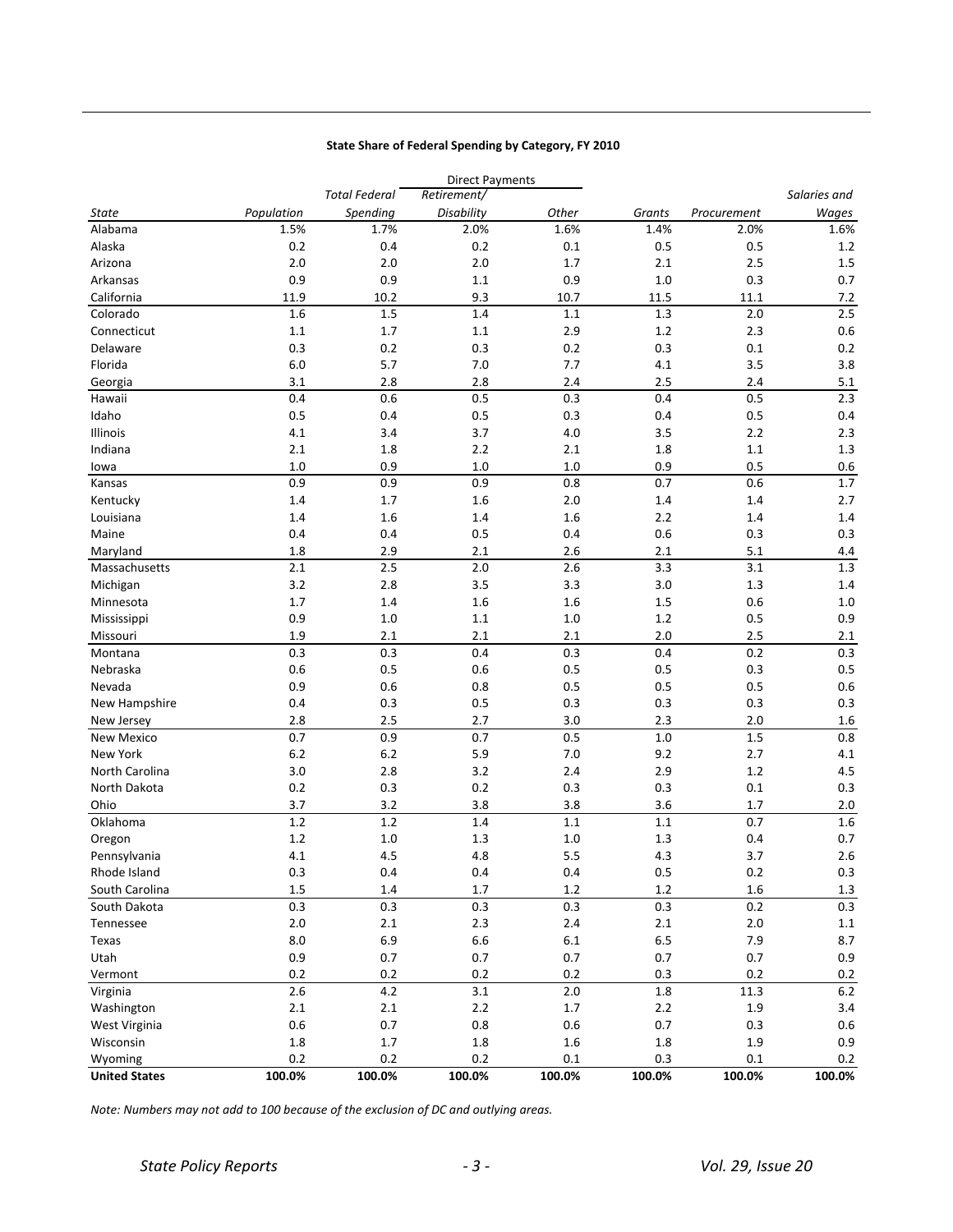### **State Share of Federal Spending by Category, FY 2010**

|                      |            |                      | <b>Direct Payments</b> |         |         |             |              |
|----------------------|------------|----------------------|------------------------|---------|---------|-------------|--------------|
|                      |            | <b>Total Federal</b> | Retirement/            |         |         |             | Salaries and |
| <b>State</b>         | Population | Spending             | Disability             | Other   | Grants  | Procurement | Wages        |
| Alabama              | 1.5%       | 1.7%                 | 2.0%                   | 1.6%    | 1.4%    | 2.0%        | 1.6%         |
| Alaska               | 0.2        | 0.4                  | 0.2                    | 0.1     | 0.5     | 0.5         | 1.2          |
| Arizona              | 2.0        | 2.0                  | 2.0                    | 1.7     | 2.1     | 2.5         | $1.5\,$      |
| Arkansas             | 0.9        | 0.9                  | 1.1                    | 0.9     | 1.0     | 0.3         | 0.7          |
| California           | 11.9       | 10.2                 | 9.3                    | 10.7    | 11.5    | 11.1        | 7.2          |
| Colorado             | 1.6        | 1.5                  | $1.4\,$                | 1.1     | 1.3     | 2.0         | 2.5          |
| Connecticut          | $1.1\,$    | $1.7\,$              | 1.1                    | 2.9     | $1.2\,$ | 2.3         | 0.6          |
| Delaware             | 0.3        | 0.2                  | 0.3                    | 0.2     | 0.3     | 0.1         | 0.2          |
| Florida              | $6.0\,$    | 5.7                  | 7.0                    | 7.7     | 4.1     | 3.5         | 3.8          |
| Georgia              | 3.1        | 2.8                  | 2.8                    | 2.4     | 2.5     | 2.4         | 5.1          |
| Hawaii               | 0.4        | 0.6                  | 0.5                    | 0.3     | 0.4     | 0.5         | 2.3          |
| Idaho                | 0.5        | 0.4                  | 0.5                    | 0.3     | 0.4     | 0.5         | 0.4          |
| Illinois             | 4.1        | 3.4                  | 3.7                    | 4.0     | 3.5     | 2.2         | 2.3          |
| Indiana              | 2.1        | 1.8                  | 2.2                    | 2.1     | 1.8     | 1.1         | 1.3          |
| lowa                 | 1.0        | 0.9                  | 1.0                    | 1.0     | 0.9     | 0.5         | $0.6\,$      |
| Kansas               | 0.9        | 0.9                  | 0.9                    | 0.8     | 0.7     | 0.6         | 1.7          |
| Kentucky             | 1.4        | $1.7$                | 1.6                    | 2.0     | 1.4     | 1.4         | 2.7          |
| Louisiana            | 1.4        | 1.6                  | 1.4                    | 1.6     | 2.2     | 1.4         | $1.4\,$      |
| Maine                | 0.4        | 0.4                  | 0.5                    | 0.4     | 0.6     | 0.3         | 0.3          |
| Maryland             | 1.8        | 2.9                  | 2.1                    | 2.6     | 2.1     | 5.1         | $4.4\,$      |
| Massachusetts        | 2.1        | 2.5                  | 2.0                    | 2.6     | 3.3     | 3.1         | 1.3          |
| Michigan             | 3.2        | 2.8                  | 3.5                    | 3.3     | 3.0     | 1.3         | 1.4          |
| Minnesota            | 1.7        | 1.4                  | 1.6                    | 1.6     | 1.5     | 0.6         | 1.0          |
| Mississippi          | 0.9        | 1.0                  | 1.1                    | 1.0     | $1.2$   | 0.5         | 0.9          |
| Missouri             | 1.9        | 2.1                  | 2.1                    | 2.1     | 2.0     | 2.5         | 2.1          |
| Montana              | 0.3        | 0.3                  | 0.4                    | 0.3     | 0.4     | 0.2         | 0.3          |
| Nebraska             | 0.6        | 0.5                  | 0.6                    | 0.5     | 0.5     | 0.3         | 0.5          |
| Nevada               | 0.9        | 0.6                  | 0.8                    | 0.5     | 0.5     | 0.5         | 0.6          |
| New Hampshire        | 0.4        | 0.3                  | 0.5                    | 0.3     | 0.3     | 0.3         | 0.3          |
| New Jersey           | 2.8        | 2.5                  | 2.7                    | 3.0     | 2.3     | 2.0         | 1.6          |
| New Mexico           | 0.7        | 0.9                  | 0.7                    | 0.5     | $1.0\,$ | $1.5\,$     | 0.8          |
| New York             | $6.2\,$    | 6.2                  | 5.9                    | 7.0     | 9.2     | 2.7         | 4.1          |
| North Carolina       | 3.0        | 2.8                  | 3.2                    | 2.4     | 2.9     | $1.2\,$     | 4.5          |
| North Dakota         | 0.2        | 0.3                  | 0.2                    | 0.3     | 0.3     | 0.1         | 0.3          |
| Ohio                 | 3.7        | 3.2                  | 3.8                    | 3.8     | 3.6     | 1.7         | $2.0\,$      |
| Oklahoma             | $1.2\,$    | $1.2\,$              | 1.4                    | $1.1\,$ | 1.1     | 0.7         | 1.6          |
| Oregon               | $1.2\,$    | 1.0                  | 1.3                    | 1.0     | 1.3     | 0.4         | 0.7          |
| Pennsylvania         | 4.1        | 4.5                  | 4.8                    | 5.5     | 4.3     | 3.7         | 2.6          |
| Rhode Island         | 0.3        | 0.4                  | 0.4                    | 0.4     | 0.5     | 0.2         | 0.3          |
| South Carolina       | $1.5\,$    | 1.4                  | 1.7                    | 1.2     | 1.2     | 1.6         | $1.3$        |
| South Dakota         | $0.3\,$    | 0.3                  | 0.3                    | 0.3     | 0.3     | 0.2         | 0.3          |
| Tennessee            | $2.0\,$    | $2.1\,$              | 2.3                    | 2.4     | $2.1\,$ | 2.0         | $1.1\,$      |
| Texas                | 8.0        | $6.9\,$              | 6.6                    | $6.1\,$ | 6.5     | 7.9         | 8.7          |
| Utah                 | $0.9\,$    | $0.7\,$              | 0.7                    | $0.7\,$ | 0.7     | 0.7         | 0.9          |
| Vermont              | 0.2        | 0.2                  | 0.2                    | 0.2     | 0.3     | 0.2         | $0.2\,$      |
| Virginia             | 2.6        | 4.2                  | 3.1                    | $2.0\,$ | $1.8\,$ | 11.3        | $6.2\,$      |
| Washington           | $2.1\,$    | $2.1\,$              | $2.2\,$                | $1.7\,$ | $2.2$   | $1.9\,$     | 3.4          |
| West Virginia        | $0.6\,$    | $0.7\,$              | 0.8                    | $0.6\,$ | 0.7     | 0.3         | 0.6          |
| Wisconsin            | 1.8        | $1.7\,$              | 1.8                    | $1.6\,$ | 1.8     | 1.9         | 0.9          |
| Wyoming              | 0.2        | 0.2                  | 0.2                    | $0.1\,$ | 0.3     | $0.1\,$     | 0.2          |
| <b>United States</b> | 100.0%     | 100.0%               | 100.0%                 | 100.0%  | 100.0%  | 100.0%      | 100.0%       |

*Note: Numbers may not add to 100 because of the exclusion of DC and outlying areas.*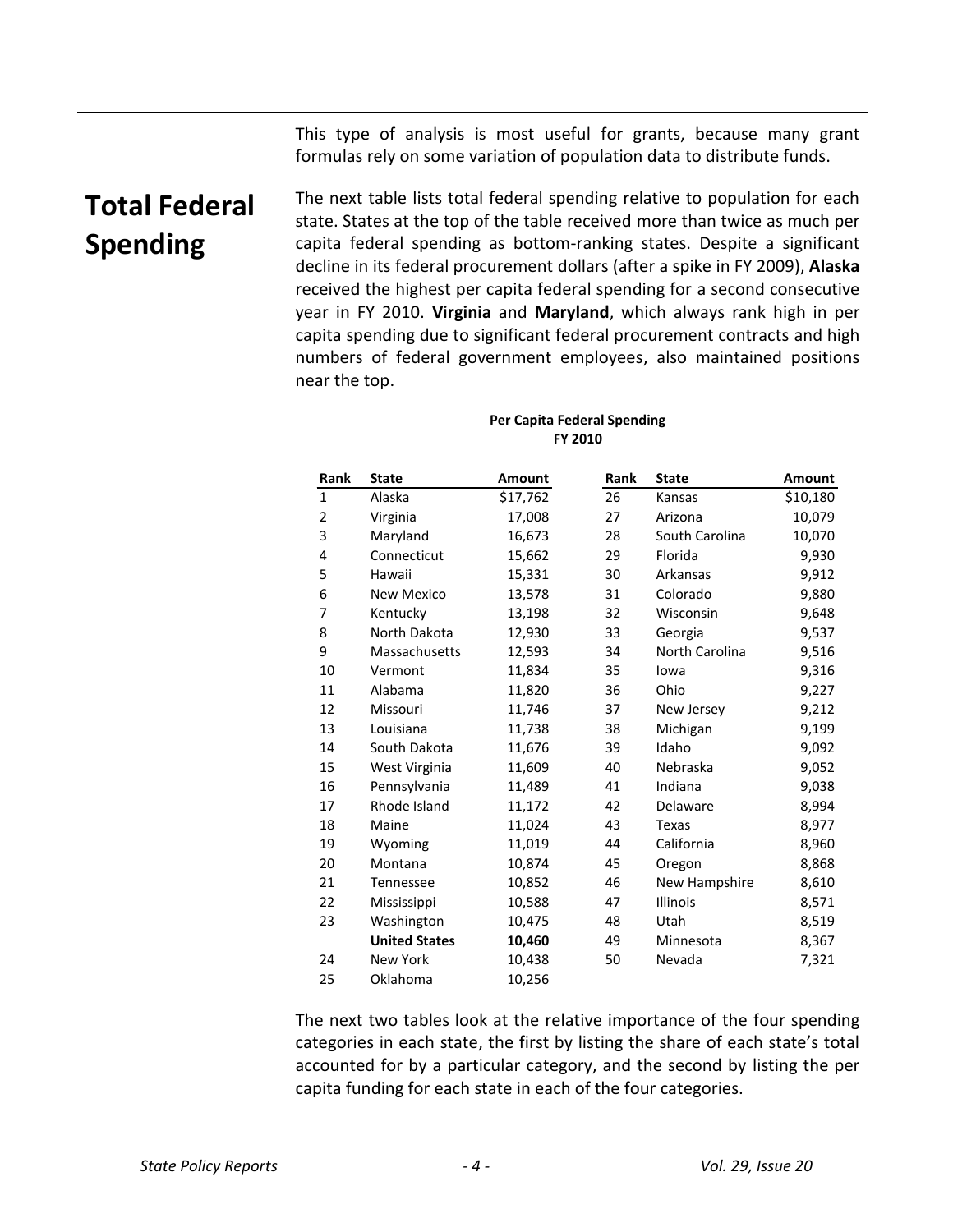This type of analysis is most useful for grants, because many grant formulas rely on some variation of population data to distribute funds.

# **Total Federal Spending**

The next table lists total federal spending relative to population for each state. States at the top of the table received more than twice as much per capita federal spending as bottom-ranking states. Despite a significant decline in its federal procurement dollars (after a spike in FY 2009), **Alaska** received the highest per capita federal spending for a second consecutive year in FY 2010. **Virginia** and **Maryland**, which always rank high in per capita spending due to significant federal procurement contracts and high numbers of federal government employees, also maintained positions near the top.

### **Per Capita Federal Spending FY 2010**

| Rank         | <b>State</b>         | Amount   | <b>Rank</b> | <b>State</b>   | Amount   |
|--------------|----------------------|----------|-------------|----------------|----------|
| $\mathbf{1}$ | Alaska               | \$17,762 | 26          | Kansas         | \$10,180 |
| 2            | Virginia             | 17,008   | 27          | Arizona        | 10,079   |
| 3            | Maryland             | 16,673   | 28          | South Carolina | 10,070   |
| 4            | Connecticut          | 15,662   | 29          | Florida        | 9,930    |
| 5            | Hawaii               | 15,331   | 30          | Arkansas       | 9,912    |
| 6            | New Mexico           | 13,578   | 31          | Colorado       | 9,880    |
| 7            | Kentucky             | 13,198   | 32          | Wisconsin      | 9,648    |
| 8            | North Dakota         | 12,930   | 33          | Georgia        | 9,537    |
| 9            | Massachusetts        | 12,593   | 34          | North Carolina | 9,516    |
| 10           | Vermont              | 11,834   | 35          | lowa           | 9,316    |
| 11           | Alabama              | 11,820   | 36          | Ohio           | 9,227    |
| 12           | Missouri             | 11,746   | 37          | New Jersey     | 9,212    |
| 13           | Louisiana            | 11,738   | 38          | Michigan       | 9,199    |
| 14           | South Dakota         | 11,676   | 39          | Idaho          | 9,092    |
| 15           | West Virginia        | 11,609   | 40          | Nebraska       | 9,052    |
| 16           | Pennsylvania         | 11,489   | 41          | Indiana        | 9,038    |
| 17           | Rhode Island         | 11,172   | 42          | Delaware       | 8,994    |
| 18           | Maine                | 11,024   | 43          | Texas          | 8,977    |
| 19           | Wyoming              | 11,019   | 44          | California     | 8,960    |
| 20           | Montana              | 10,874   | 45          | Oregon         | 8,868    |
| 21           | Tennessee            | 10,852   | 46          | New Hampshire  | 8,610    |
| 22           | Mississippi          | 10,588   | 47          | Illinois       | 8,571    |
| 23           | Washington           | 10,475   | 48          | Utah           | 8,519    |
|              | <b>United States</b> | 10,460   | 49          | Minnesota      | 8,367    |
| 24           | <b>New York</b>      | 10,438   | 50          | Nevada         | 7,321    |
| 25           | Oklahoma             | 10,256   |             |                |          |

The next two tables look at the relative importance of the four spending categories in each state, the first by listing the share of each state's total accounted for by a particular category, and the second by listing the per capita funding for each state in each of the four categories.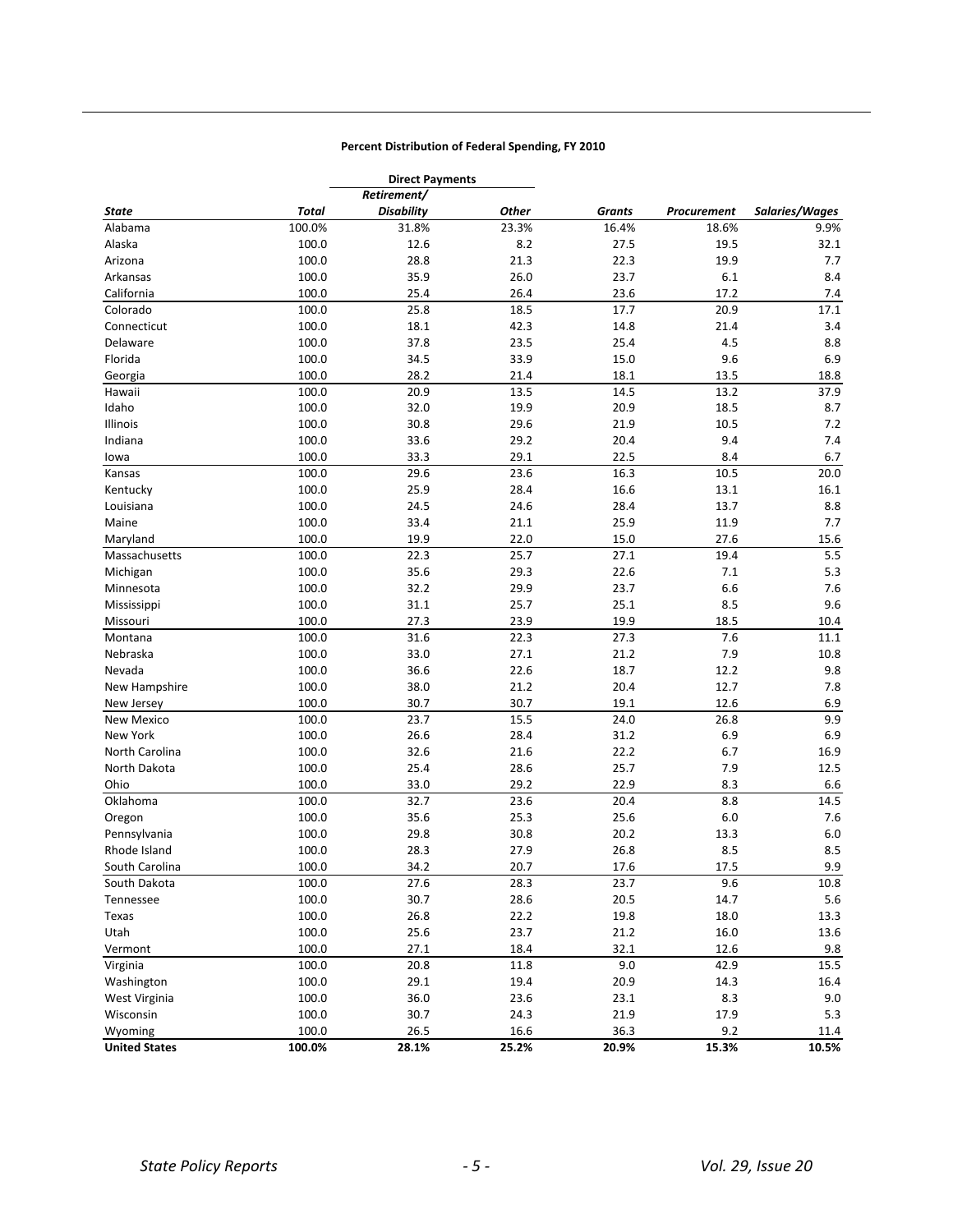### **Percent Distribution of Federal Spending, FY 2010**

|                      |        | <b>Direct Payments</b><br>Retirement/ |       |        |             |                |
|----------------------|--------|---------------------------------------|-------|--------|-------------|----------------|
| State                | Total  | <b>Disability</b>                     | Other | Grants | Procurement | Salaries/Wages |
| Alabama              | 100.0% | 31.8%                                 | 23.3% | 16.4%  | 18.6%       | 9.9%           |
| Alaska               | 100.0  | 12.6                                  | 8.2   | 27.5   | 19.5        | 32.1           |
| Arizona              | 100.0  | 28.8                                  | 21.3  | 22.3   | 19.9        | 7.7            |
| Arkansas             | 100.0  | 35.9                                  | 26.0  | 23.7   | 6.1         | 8.4            |
| California           | 100.0  | 25.4                                  | 26.4  | 23.6   | 17.2        | 7.4            |
| Colorado             | 100.0  | 25.8                                  | 18.5  | 17.7   | 20.9        | 17.1           |
| Connecticut          | 100.0  | 18.1                                  | 42.3  | 14.8   | 21.4        | 3.4            |
| Delaware             | 100.0  | 37.8                                  | 23.5  | 25.4   | 4.5         | 8.8            |
| Florida              | 100.0  | 34.5                                  | 33.9  | 15.0   | 9.6         | 6.9            |
| Georgia              | 100.0  | 28.2                                  | 21.4  | 18.1   | 13.5        | 18.8           |
| Hawaii               | 100.0  | 20.9                                  | 13.5  | 14.5   | 13.2        | 37.9           |
| Idaho                | 100.0  | 32.0                                  | 19.9  | 20.9   | 18.5        | 8.7            |
| Illinois             | 100.0  | 30.8                                  | 29.6  |        | 10.5        | 7.2            |
|                      |        |                                       |       | 21.9   |             | 7.4            |
| Indiana              | 100.0  | 33.6                                  | 29.2  | 20.4   | 9.4         |                |
| lowa                 | 100.0  | 33.3                                  | 29.1  | 22.5   | 8.4         | 6.7            |
| Kansas               | 100.0  | $29.\overline{6}$                     | 23.6  | 16.3   | 10.5        | 20.0           |
| Kentucky             | 100.0  | 25.9                                  | 28.4  | 16.6   | 13.1        | 16.1           |
| Louisiana            | 100.0  | 24.5                                  | 24.6  | 28.4   | 13.7        | 8.8            |
| Maine                | 100.0  | 33.4                                  | 21.1  | 25.9   | 11.9        | 7.7            |
| Maryland             | 100.0  | 19.9                                  | 22.0  | 15.0   | 27.6        | 15.6           |
| Massachusetts        | 100.0  | 22.3                                  | 25.7  | 27.1   | 19.4        | 5.5            |
| Michigan             | 100.0  | 35.6                                  | 29.3  | 22.6   | 7.1         | 5.3            |
| Minnesota            | 100.0  | 32.2                                  | 29.9  | 23.7   | 6.6         | 7.6            |
| Mississippi          | 100.0  | 31.1                                  | 25.7  | 25.1   | 8.5         | 9.6            |
| Missouri             | 100.0  | 27.3                                  | 23.9  | 19.9   | 18.5        | $10.4\,$       |
| Montana              | 100.0  | 31.6                                  | 22.3  | 27.3   | 7.6         | 11.1           |
| Nebraska             | 100.0  | 33.0                                  | 27.1  | 21.2   | 7.9         | 10.8           |
| Nevada               | 100.0  | 36.6                                  | 22.6  | 18.7   | 12.2        | 9.8            |
| New Hampshire        | 100.0  | 38.0                                  | 21.2  | 20.4   | 12.7        | 7.8            |
| New Jersey           | 100.0  | 30.7                                  | 30.7  | 19.1   | 12.6        | 6.9            |
| <b>New Mexico</b>    | 100.0  | 23.7                                  | 15.5  | 24.0   | 26.8        | 9.9            |
| New York             | 100.0  | 26.6                                  | 28.4  | 31.2   | 6.9         | 6.9            |
| North Carolina       | 100.0  | 32.6                                  | 21.6  | 22.2   | 6.7         | 16.9           |
| North Dakota         | 100.0  | 25.4                                  | 28.6  | 25.7   | 7.9         | 12.5           |
| Ohio                 | 100.0  | 33.0                                  | 29.2  | 22.9   | 8.3         | 6.6            |
| Oklahoma             | 100.0  | 32.7                                  | 23.6  | 20.4   | 8.8         | 14.5           |
| Oregon               | 100.0  | 35.6                                  | 25.3  | 25.6   | 6.0         | 7.6            |
| Pennsylvania         | 100.0  | 29.8                                  | 30.8  | 20.2   | 13.3        | 6.0            |
| Rhode Island         | 100.0  | 28.3                                  | 27.9  | 26.8   | 8.5         | 8.5            |
| South Carolina       | 100.0  | 34.2                                  | 20.7  | 17.6   | 17.5        | 9.9            |
| South Dakota         | 100.0  | 27.6                                  | 28.3  | 23.7   | 9.6         | 10.8           |
| Tennessee            | 100.0  | 30.7                                  | 28.6  | 20.5   | 14.7        | 5.6            |
| Texas                | 100.0  | 26.8                                  | 22.2  | 19.8   | 18.0        | 13.3           |
| Utah                 | 100.0  | 25.6                                  | 23.7  | 21.2   | 16.0        | 13.6           |
| Vermont              | 100.0  | 27.1                                  | 18.4  | 32.1   | 12.6        | 9.8            |
| Virginia             | 100.0  | 20.8                                  | 11.8  | 9.0    | 42.9        | 15.5           |
| Washington           | 100.0  | 29.1                                  | 19.4  | 20.9   | 14.3        | 16.4           |
| West Virginia        | 100.0  | 36.0                                  | 23.6  | 23.1   | 8.3         | 9.0            |
| Wisconsin            | 100.0  | 30.7                                  | 24.3  | 21.9   | 17.9        | 5.3            |
| Wyoming              | 100.0  | 26.5                                  | 16.6  | 36.3   | 9.2         | 11.4           |
| <b>United States</b> | 100.0% | 28.1%                                 | 25.2% | 20.9%  | 15.3%       | 10.5%          |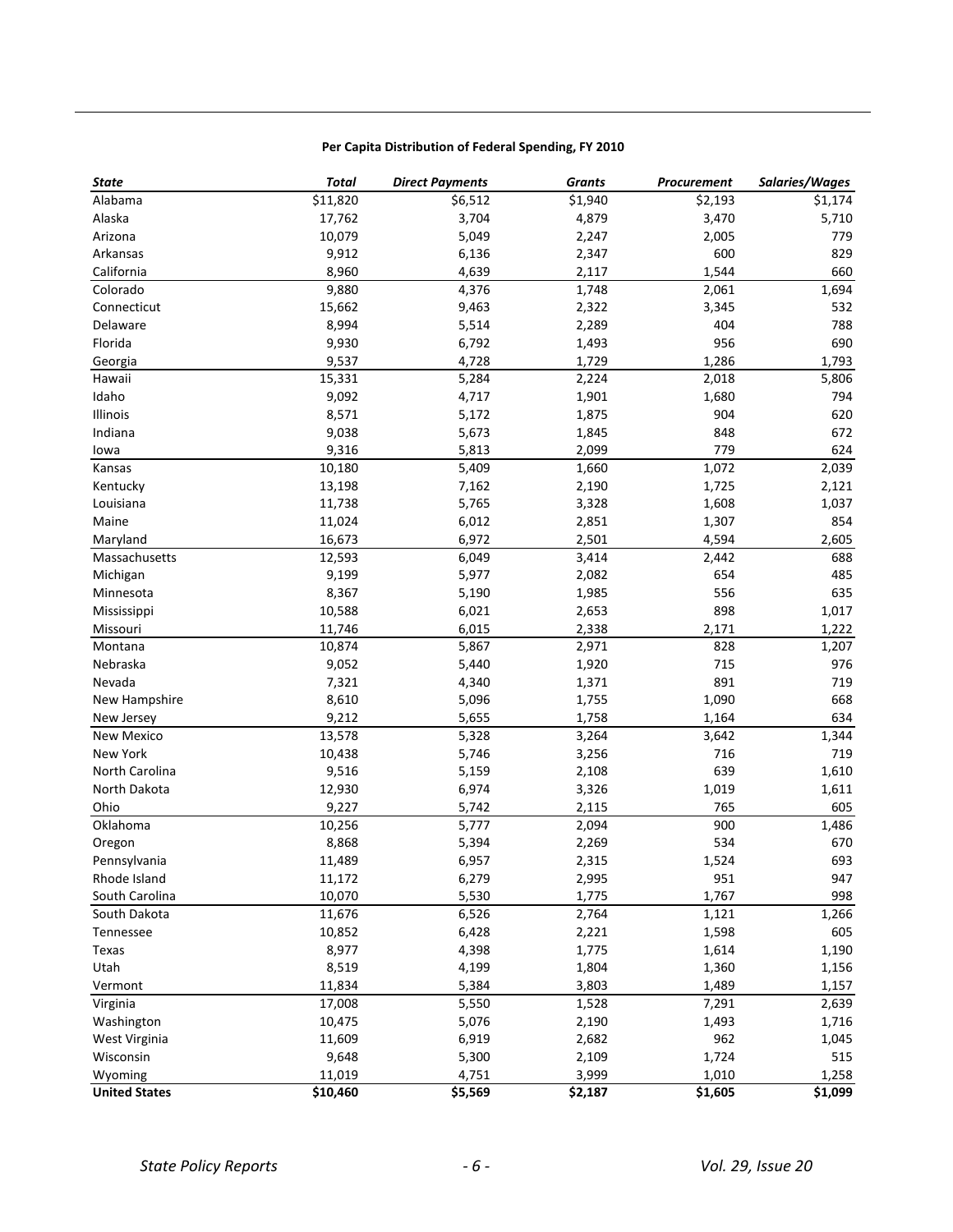### **Per Capita Distribution of Federal Spending, FY 2010**

| <b>State</b>         | <b>Total</b> | <b>Direct Payments</b> | <b>Grants</b> | Procurement | Salaries/Wages |
|----------------------|--------------|------------------------|---------------|-------------|----------------|
| Alabama              | \$11,820     | \$6,512                | \$1,940       | \$2,193     | \$1,174        |
| Alaska               | 17,762       | 3,704                  | 4,879         | 3,470       | 5,710          |
| Arizona              | 10,079       | 5,049                  | 2,247         | 2,005       | 779            |
| Arkansas             | 9,912        | 6,136                  | 2,347         | 600         | 829            |
| California           | 8,960        | 4,639                  | 2,117         | 1,544       | 660            |
| Colorado             | 9,880        | 4,376                  | 1,748         | 2,061       | 1,694          |
| Connecticut          | 15,662       | 9,463                  | 2,322         | 3,345       | 532            |
| Delaware             | 8,994        | 5,514                  | 2,289         | 404         | 788            |
| Florida              | 9,930        | 6,792                  | 1,493         | 956         | 690            |
| Georgia              | 9,537        | 4,728                  | 1,729         | 1,286       | 1,793          |
| Hawaii               | 15,331       | 5,284                  | 2,224         | 2,018       | 5,806          |
| Idaho                | 9,092        | 4,717                  | 1,901         | 1,680       | 794            |
| Illinois             | 8,571        | 5,172                  | 1,875         | 904         | 620            |
| Indiana              | 9,038        | 5,673                  | 1,845         | 848         | 672            |
| lowa                 | 9,316        | 5,813                  | 2,099         | 779         | 624            |
| Kansas               | 10,180       | 5,409                  | 1,660         | 1,072       | 2,039          |
| Kentucky             | 13,198       | 7,162                  | 2,190         | 1,725       | 2,121          |
| Louisiana            | 11,738       | 5,765                  | 3,328         | 1,608       | 1,037          |
| Maine                | 11,024       | 6,012                  | 2,851         | 1,307       | 854            |
| Maryland             | 16,673       | 6,972                  | 2,501         | 4,594       | 2,605          |
| Massachusetts        | 12,593       | 6,049                  | 3,414         | 2,442       | 688            |
| Michigan             | 9,199        | 5,977                  | 2,082         | 654         | 485            |
| Minnesota            | 8,367        | 5,190                  | 1,985         | 556         | 635            |
| Mississippi          | 10,588       | 6,021                  | 2,653         | 898         | 1,017          |
| Missouri             | 11,746       | 6,015                  | 2,338         | 2,171       | 1,222          |
| Montana              | 10,874       | 5,867                  | 2,971         | 828         | 1,207          |
| Nebraska             | 9,052        | 5,440                  | 1,920         | 715         | 976            |
| Nevada               | 7,321        | 4,340                  | 1,371         | 891         | 719            |
| New Hampshire        | 8,610        | 5,096                  | 1,755         | 1,090       | 668            |
| New Jersey           | 9,212        | 5,655                  | 1,758         | 1,164       | 634            |
| <b>New Mexico</b>    | 13,578       | 5,328                  | 3,264         | 3,642       | 1,344          |
| New York             | 10,438       | 5,746                  | 3,256         | 716         | 719            |
| North Carolina       | 9,516        | 5,159                  | 2,108         | 639         | 1,610          |
| North Dakota         | 12,930       | 6,974                  | 3,326         | 1,019       | 1,611          |
| Ohio                 | 9,227        | 5,742                  | 2,115         | 765         | 605            |
| Oklahoma             | 10,256       | 5,777                  | 2,094         | 900         | 1,486          |
| Oregon               | 8,868        | 5,394                  | 2,269         | 534         | 670            |
| Pennsylvania         | 11,489       | 6,957                  | 2,315         | 1,524       | 693            |
| Rhode Island         | 11,172       | 6,279                  | 2,995         | 951         | 947            |
| South Carolina       | 10,070       | 5,530                  | 1,775         | 1,767       | 998            |
| South Dakota         | 11,676       | 6,526                  | 2,764         | 1,121       | 1,266          |
| Tennessee            | 10,852       | 6,428                  | 2,221         | 1,598       | 605            |
| Texas                | 8,977        | 4,398                  | 1,775         | 1,614       | 1,190          |
| Utah                 | 8,519        | 4,199                  | 1,804         | 1,360       | 1,156          |
| Vermont              | 11,834       | 5,384                  | 3,803         | 1,489       | 1,157          |
| Virginia             | 17,008       | 5,550                  | 1,528         | 7,291       | 2,639          |
| Washington           | 10,475       | 5,076                  | 2,190         | 1,493       | 1,716          |
| West Virginia        | 11,609       | 6,919                  | 2,682         | 962         | 1,045          |
| Wisconsin            | 9,648        | 5,300                  | 2,109         | 1,724       | 515            |
| Wyoming              | 11,019       | 4,751                  | 3,999         | 1,010       | 1,258          |
| <b>United States</b> | \$10,460     | \$5,569                | \$2,187       | \$1,605     | \$1,099        |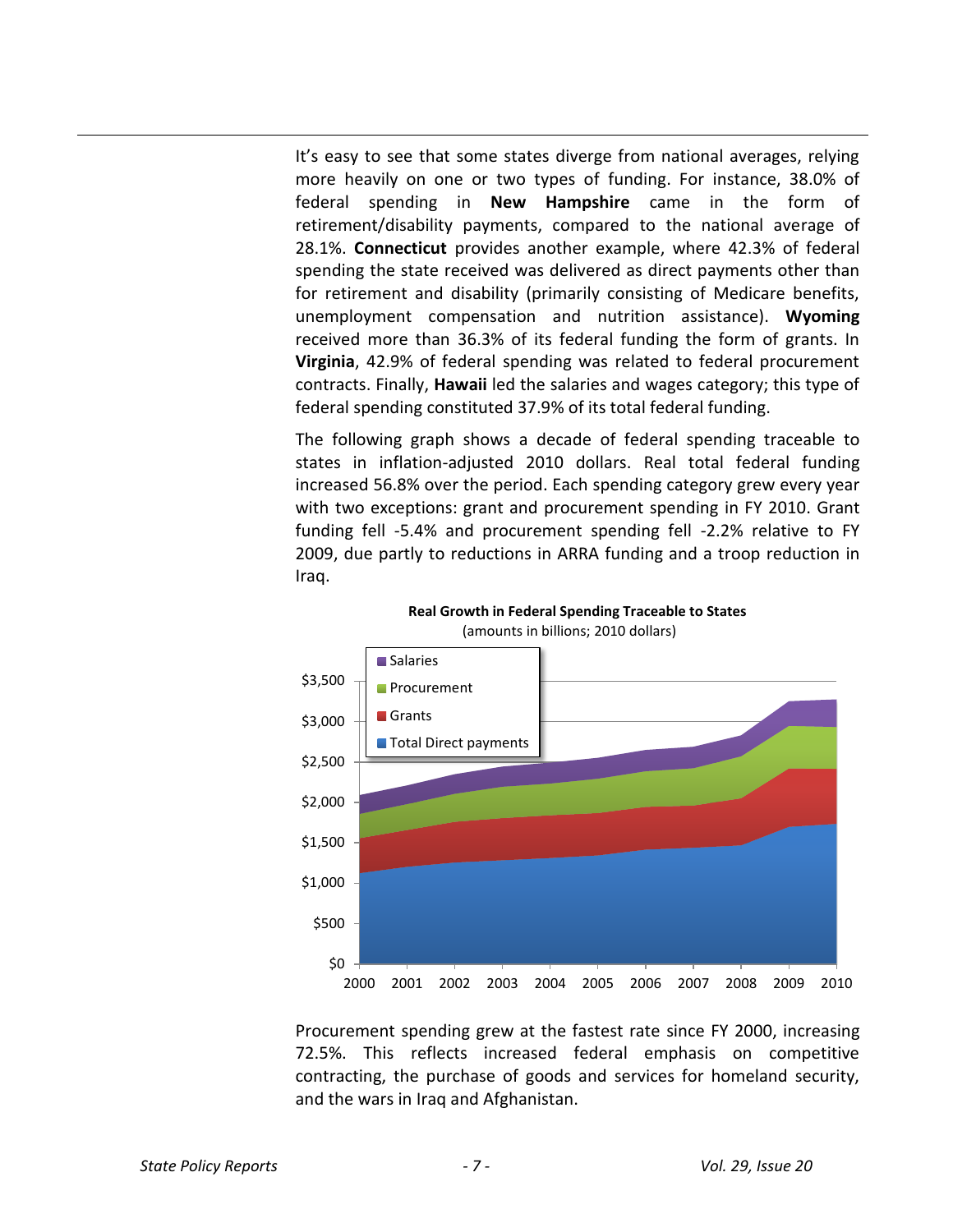It's easy to see that some states diverge from national averages, relying more heavily on one or two types of funding. For instance, 38.0% of federal spending in **New Hampshire** came in the form of retirement/disability payments, compared to the national average of 28.1%. **Connecticut** provides another example, where 42.3% of federal spending the state received was delivered as direct payments other than for retirement and disability (primarily consisting of Medicare benefits, unemployment compensation and nutrition assistance). **Wyoming** received more than 36.3% of its federal funding the form of grants. In **Virginia**, 42.9% of federal spending was related to federal procurement contracts. Finally, **Hawaii** led the salaries and wages category; this type of federal spending constituted 37.9% of its total federal funding.

The following graph shows a decade of federal spending traceable to states in inflation-adjusted 2010 dollars. Real total federal funding increased 56.8% over the period. Each spending category grew every year with two exceptions: grant and procurement spending in FY 2010. Grant funding fell -5.4% and procurement spending fell -2.2% relative to FY 2009, due partly to reductions in ARRA funding and a troop reduction in Iraq.



**Real Growth in Federal Spending Traceable to States** (amounts in billions; 2010 dollars)

Procurement spending grew at the fastest rate since FY 2000, increasing 72.5%. This reflects increased federal emphasis on competitive contracting, the purchase of goods and services for homeland security, and the wars in Iraq and Afghanistan.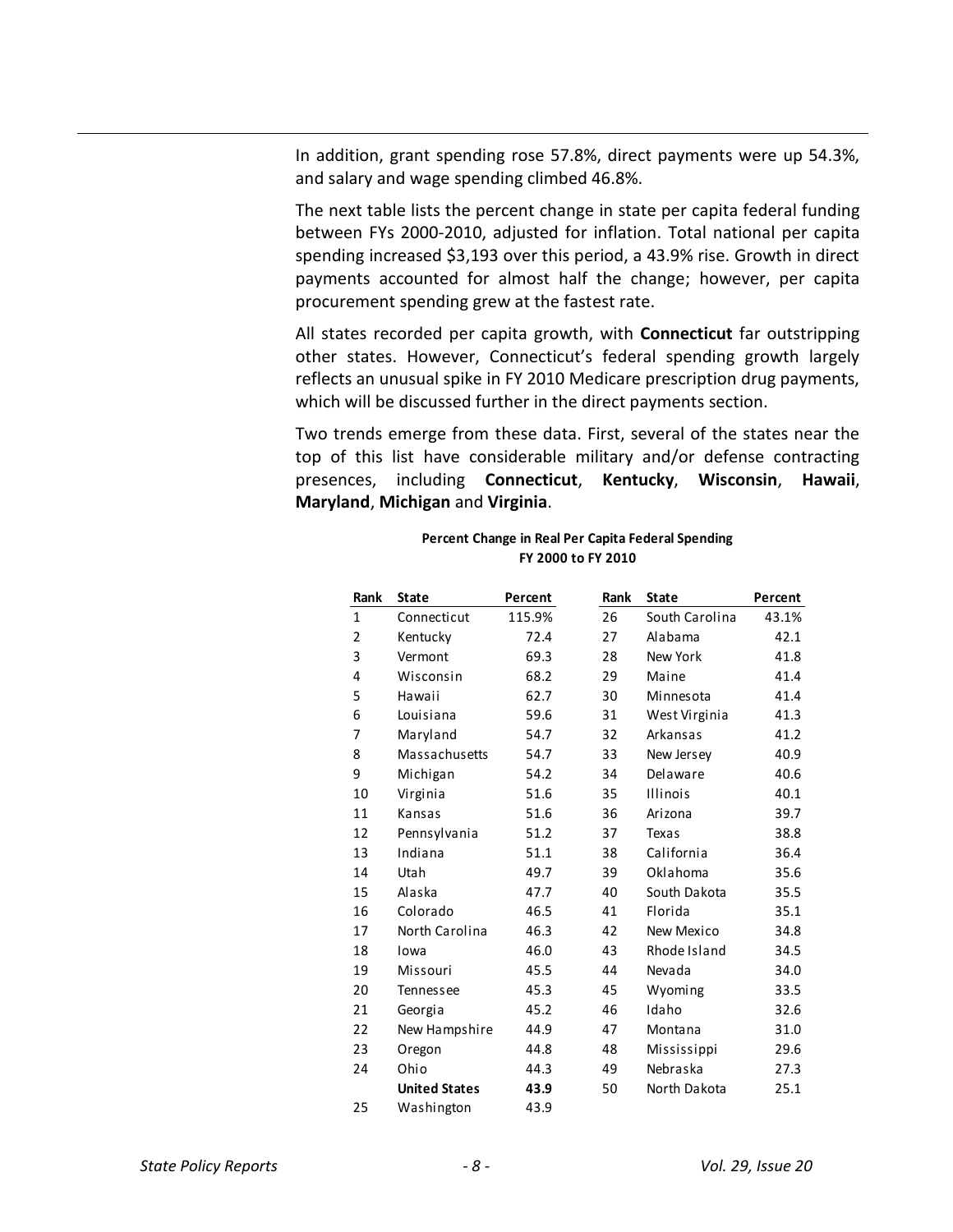In addition, grant spending rose 57.8%, direct payments were up 54.3%, and salary and wage spending climbed 46.8%.

The next table lists the percent change in state per capita federal funding between FYs 2000-2010, adjusted for inflation. Total national per capita spending increased \$3,193 over this period, a 43.9% rise. Growth in direct payments accounted for almost half the change; however, per capita procurement spending grew at the fastest rate.

All states recorded per capita growth, with **Connecticut** far outstripping other states. However, Connecticut's federal spending growth largely reflects an unusual spike in FY 2010 Medicare prescription drug payments, which will be discussed further in the direct payments section.

Two trends emerge from these data. First, several of the states near the top of this list have considerable military and/or defense contracting presences, including **Connecticut**, **Kentucky**, **Wisconsin**, **Hawaii**, **Maryland**, **Michigan** and **Virginia**.

| Rank           | <b>State</b>         | Percent | Rank | <b>State</b>    | Percent |
|----------------|----------------------|---------|------|-----------------|---------|
| $\mathbf{1}$   | Connecticut          | 115.9%  | 26   | South Carolina  | 43.1%   |
| $\overline{2}$ | Kentucky             | 72.4    | 27   | Alabama         | 42.1    |
| 3              | Vermont              | 69.3    | 28   | New York        | 41.8    |
| 4              | Wisconsin            | 68.2    | 29   | Maine           | 41.4    |
| 5              | Hawaii               | 62.7    | 30   | Minnesota       | 41.4    |
| 6              | Louisiana            | 59.6    | 31   | West Virginia   | 41.3    |
| 7              | Maryland             | 54.7    | 32   | Arkansas        | 41.2    |
| 8              | Massachusetts        | 54.7    | 33   | New Jersey      | 40.9    |
| 9              | Michigan             | 54.2    | 34   | Delaware        | 40.6    |
| 10             | Virginia             | 51.6    | 35   | <b>Illinois</b> | 40.1    |
| 11             | Kansas               | 51.6    | 36   | Arizona         | 39.7    |
| 12             | Pennsylvania         | 51.2    | 37   | Texas           | 38.8    |
| 13             | Indiana              | 51.1    | 38   | California      | 36.4    |
| 14             | Utah                 | 49.7    | 39   | Oklahoma        | 35.6    |
| 15             | Alaska               | 47.7    | 40   | South Dakota    | 35.5    |
| 16             | Colorado             | 46.5    | 41   | Florida         | 35.1    |
| 17             | North Carolina       | 46.3    | 42   | New Mexico      | 34.8    |
| 18             | Iowa                 | 46.0    | 43   | Rhode Island    | 34.5    |
| 19             | Missouri             | 45.5    | 44   | Nevada          | 34.0    |
| 20             | Tennessee            | 45.3    | 45   | Wyoming         | 33.5    |
| 21             | Georgia              | 45.2    | 46   | Idaho           | 32.6    |
| 22             | New Hampshire        | 44.9    | 47   | Montana         | 31.0    |
| 23             | Oregon               | 44.8    | 48   | Mississippi     | 29.6    |
| 24             | Ohio                 | 44.3    | 49   | Nebraska        | 27.3    |
|                | <b>United States</b> | 43.9    | 50   | North Dakota    | 25.1    |
| 25             | Washington           | 43.9    |      |                 |         |

**Percent Change in Real Per Capita Federal Spending FY 2000 to FY 2010**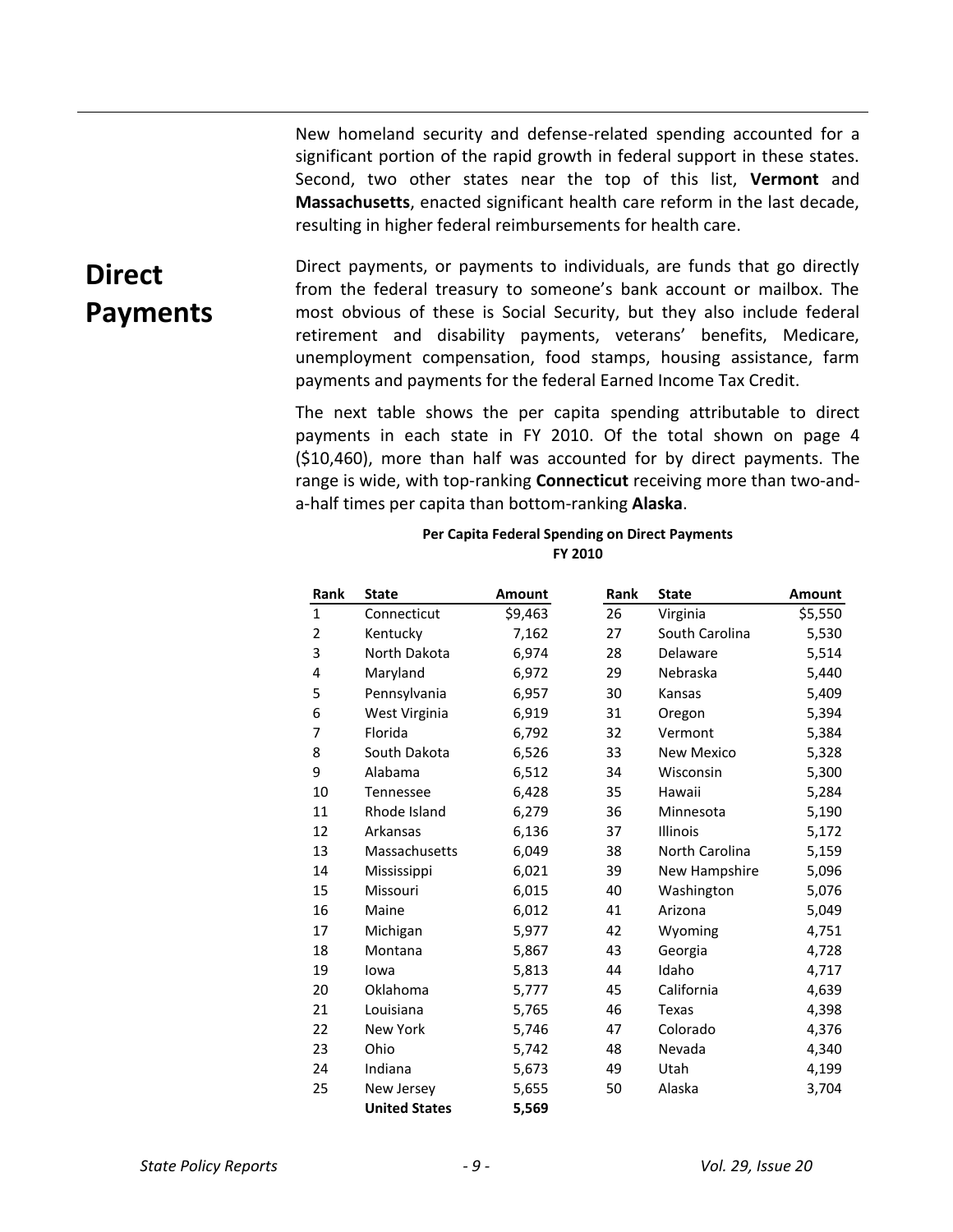New homeland security and defense-related spending accounted for a significant portion of the rapid growth in federal support in these states. Second, two other states near the top of this list, **Vermont** and **Massachusetts**, enacted significant health care reform in the last decade, resulting in higher federal reimbursements for health care.

# **Direct Payments**

Direct payments, or payments to individuals, are funds that go directly from the federal treasury to someone's bank account or mailbox. The most obvious of these is Social Security, but they also include federal retirement and disability payments, veterans' benefits, Medicare, unemployment compensation, food stamps, housing assistance, farm payments and payments for the federal Earned Income Tax Credit.

The next table shows the per capita spending attributable to direct payments in each state in FY 2010. Of the total shown on page 4 (\$10,460), more than half was accounted for by direct payments. The range is wide, with top-ranking **Connecticut** receiving more than two-anda-half times per capita than bottom-ranking **Alaska**.

### **Per Capita Federal Spending on Direct Payments FY 2010**

| <b>Rank</b>  | <b>State</b>         | <b>Amount</b> | Rank | <b>State</b>      | Amount  |
|--------------|----------------------|---------------|------|-------------------|---------|
| $\mathbf{1}$ | Connecticut          | \$9,463       | 26   | Virginia          | \$5,550 |
| 2            | Kentucky             | 7,162         | 27   | South Carolina    | 5,530   |
| 3            | North Dakota         | 6,974         | 28   | Delaware          | 5,514   |
| 4            | Maryland             | 6,972         | 29   | Nebraska          | 5,440   |
| 5            | Pennsylvania         | 6,957         | 30   | Kansas            | 5,409   |
| 6            | West Virginia        | 6,919         | 31   | Oregon            | 5,394   |
| 7            | Florida              | 6,792         | 32   | Vermont           | 5,384   |
| 8            | South Dakota         | 6,526         | 33   | <b>New Mexico</b> | 5,328   |
| 9            | Alabama              | 6,512         | 34   | Wisconsin         | 5,300   |
| 10           | Tennessee            | 6,428         | 35   | Hawaii            | 5,284   |
| 11           | Rhode Island         | 6,279         | 36   | Minnesota         | 5,190   |
| 12           | Arkansas             | 6,136         | 37   | <b>Illinois</b>   | 5,172   |
| 13           | Massachusetts        | 6,049         | 38   | North Carolina    | 5,159   |
| 14           | Mississippi          | 6,021         | 39   | New Hampshire     | 5,096   |
| 15           | Missouri             | 6,015         | 40   | Washington        | 5,076   |
| 16           | Maine                | 6,012         | 41   | Arizona           | 5,049   |
| 17           | Michigan             | 5,977         | 42   | Wyoming           | 4,751   |
| 18           | Montana              | 5,867         | 43   | Georgia           | 4,728   |
| 19           | lowa                 | 5,813         | 44   | Idaho             | 4,717   |
| 20           | Oklahoma             | 5,777         | 45   | California        | 4,639   |
| 21           | Louisiana            | 5,765         | 46   | Texas             | 4,398   |
| 22           | <b>New York</b>      | 5,746         | 47   | Colorado          | 4,376   |
| 23           | Ohio                 | 5,742         | 48   | Nevada            | 4,340   |
| 24           | Indiana              | 5,673         | 49   | Utah              | 4,199   |
| 25           | New Jersey           | 5,655         | 50   | Alaska            | 3,704   |
|              | <b>United States</b> | 5,569         |      |                   |         |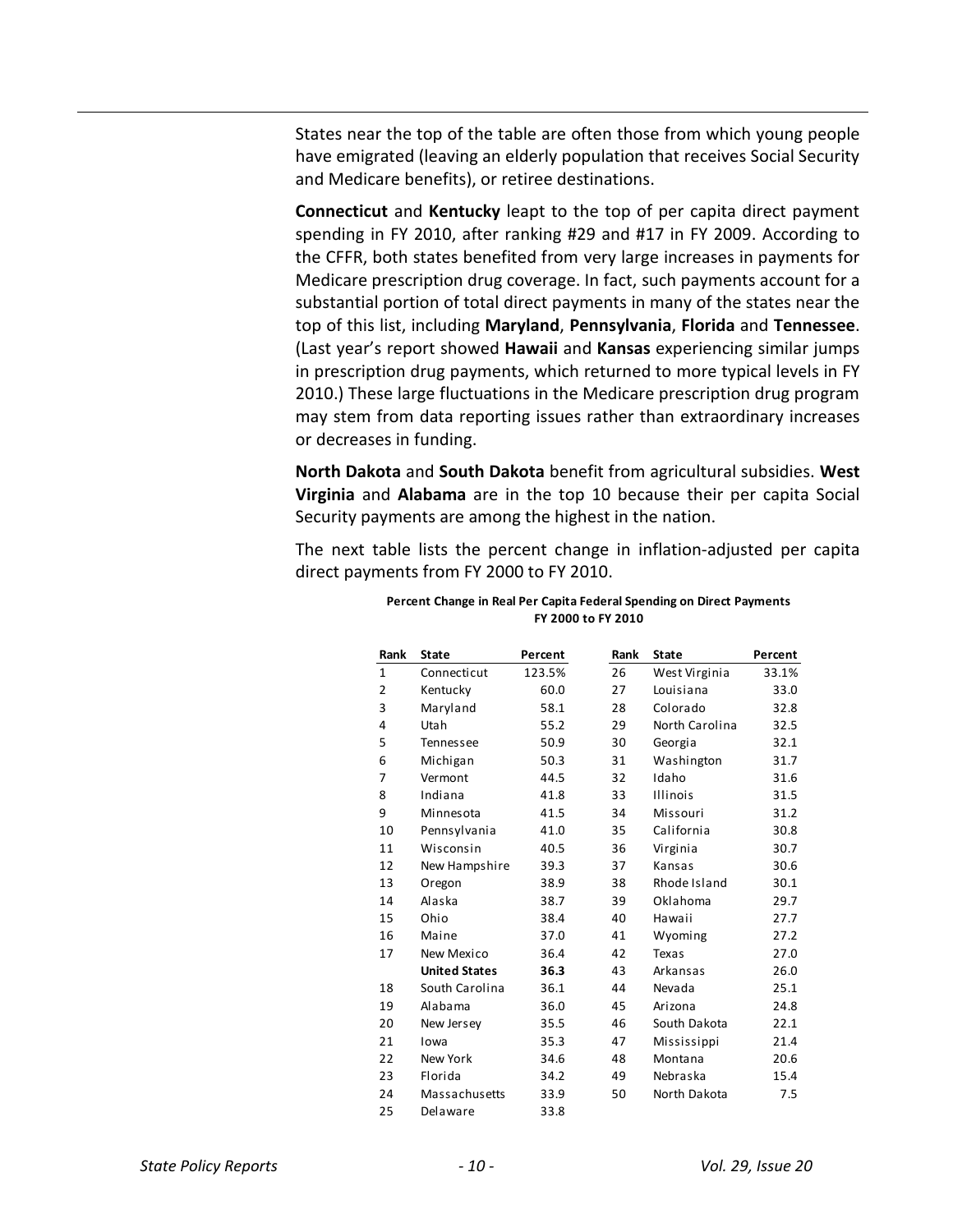States near the top of the table are often those from which young people have emigrated (leaving an elderly population that receives Social Security and Medicare benefits), or retiree destinations.

**Connecticut** and **Kentucky** leapt to the top of per capita direct payment spending in FY 2010, after ranking #29 and #17 in FY 2009. According to the CFFR, both states benefited from very large increases in payments for Medicare prescription drug coverage. In fact, such payments account for a substantial portion of total direct payments in many of the states near the top of this list, including **Maryland**, **Pennsylvania**, **Florida** and **Tennessee**. (Last year's report showed **Hawaii** and **Kansas** experiencing similar jumps in prescription drug payments, which returned to more typical levels in FY 2010.) These large fluctuations in the Medicare prescription drug program may stem from data reporting issues rather than extraordinary increases or decreases in funding.

**North Dakota** and **South Dakota** benefit from agricultural subsidies. **West Virginia** and **Alabama** are in the top 10 because their per capita Social Security payments are among the highest in the nation.

The next table lists the percent change in inflation-adjusted per capita direct payments from FY 2000 to FY 2010.

| Rank           | <b>State</b>         | Percent | Rank | <b>State</b>     | Percent |
|----------------|----------------------|---------|------|------------------|---------|
| $\mathbf{1}$   | Connecticut          | 123.5%  | 26   | West Virginia    | 33.1%   |
| $\overline{2}$ | Kentucky             | 60.0    | 27   | <b>Louisiana</b> | 33.0    |
| 3              | Maryland             | 58.1    | 28   | Colorado         | 32.8    |
| 4              | Utah                 | 55.2    | 29   | North Carolina   | 32.5    |
| 5              | Tennessee            | 50.9    | 30   | Georgia          | 32.1    |
| 6              | Michigan             | 50.3    | 31   | Washington       | 31.7    |
| 7              | Vermont              | 44.5    | 32   | Idaho            | 31.6    |
| 8              | Indiana              | 41.8    | 33   | <b>Illinois</b>  | 31.5    |
| 9              | Minnesota            | 41.5    | 34   | Missouri         | 31.2    |
| 10             | Pennsylvania         | 41.0    | 35   | California       | 30.8    |
| 11             | Wisconsin            | 40.5    | 36   | Virginia         | 30.7    |
| 12             | New Hampshire        | 39.3    | 37   | Kansas           | 30.6    |
| 13             | Oregon               | 38.9    | 38   | Rhode Island     | 30.1    |
| 14             | Alaska               | 38.7    | 39   | Oklahoma         | 29.7    |
| 15             | Ohio                 | 38.4    | 40   | Hawaii           | 27.7    |
| 16             | Maine                | 37.0    | 41   | Wyoming          | 27.2    |
| 17             | New Mexico           | 36.4    | 42   | Texas            | 27.0    |
|                | <b>United States</b> | 36.3    | 43   | Arkansas         | 26.0    |
| 18             | South Carolina       | 36.1    | 44   | Nevada           | 25.1    |
| 19             | Alabama              | 36.0    | 45   | Arizona          | 24.8    |
| 20             | New Jersey           | 35.5    | 46   | South Dakota     | 22.1    |
| 21             | lowa                 | 35.3    | 47   | Mississippi      | 21.4    |
| 22             | New York             | 34.6    | 48   | Montana          | 20.6    |
| 23             | Florida              | 34.2    | 49   | Nebraska         | 15.4    |
| 24             | Massachusetts        | 33.9    | 50   | North Dakota     | 7.5     |
| 25             | Delaware             | 33.8    |      |                  |         |

### **Percent Change in Real Per Capita Federal Spending on Direct Payments FY 2000 to FY 2010**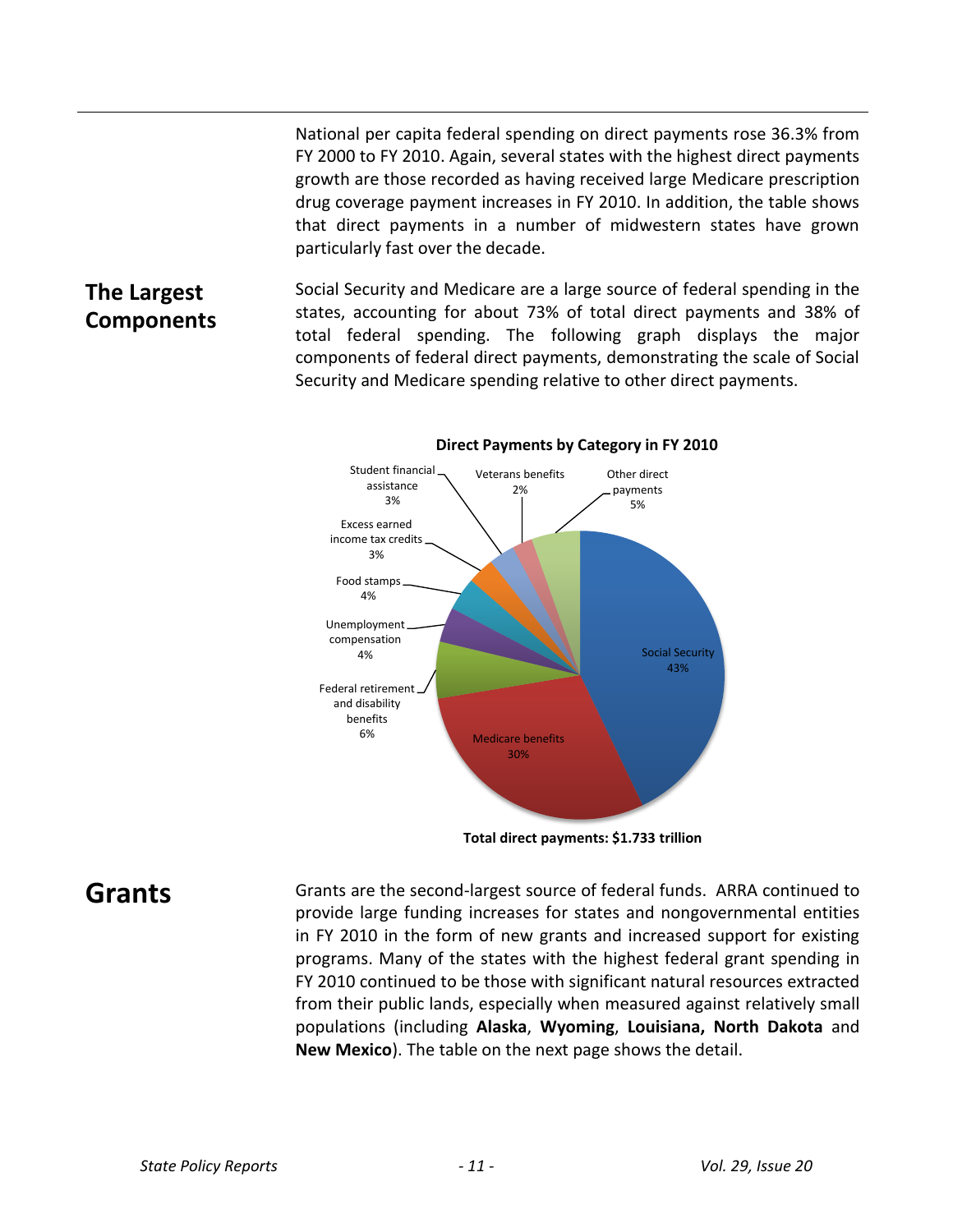National per capita federal spending on direct payments rose 36.3% from FY 2000 to FY 2010. Again, several states with the highest direct payments growth are those recorded as having received large Medicare prescription drug coverage payment increases in FY 2010. In addition, the table shows that direct payments in a number of midwestern states have grown particularly fast over the decade.

## **The Largest Components**

Social Security and Medicare are a large source of federal spending in the states, accounting for about 73% of total direct payments and 38% of total federal spending. The following graph displays the major components of federal direct payments, demonstrating the scale of Social Security and Medicare spending relative to other direct payments.



### **Direct Payments by Category in FY 2010**

**Total direct payments: \$1.733 trillion**

**Grants** Grants are the second-largest source of federal funds. ARRA continued to provide large funding increases for states and nongovernmental entities in FY 2010 in the form of new grants and increased support for existing programs. Many of the states with the highest federal grant spending in FY 2010 continued to be those with significant natural resources extracted from their public lands, especially when measured against relatively small populations (including **Alaska**, **Wyoming**, **Louisiana, North Dakota** and **New Mexico**). The table on the next page shows the detail.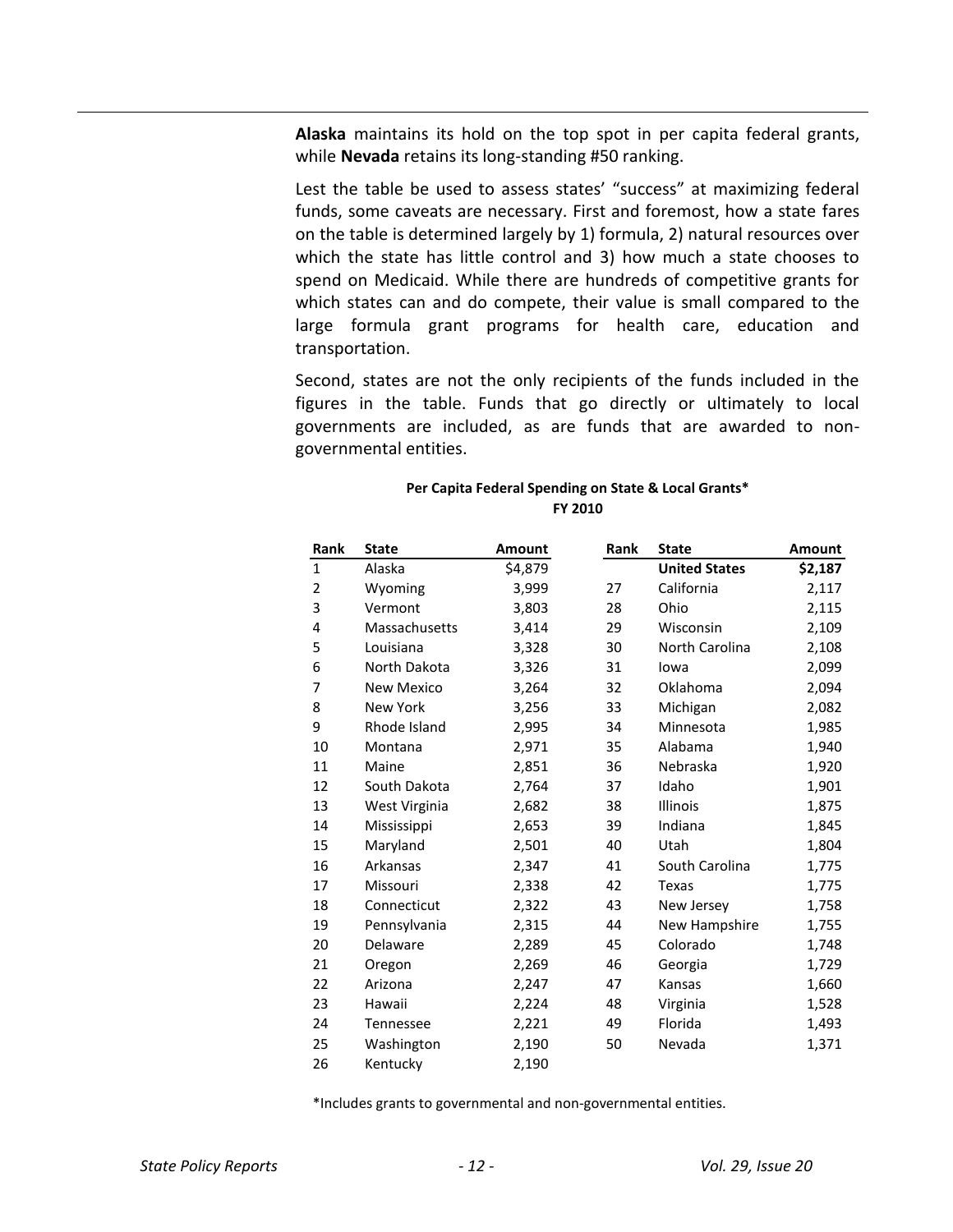**Alaska** maintains its hold on the top spot in per capita federal grants, while **Nevada** retains its long-standing #50 ranking.

Lest the table be used to assess states' "success" at maximizing federal funds, some caveats are necessary. First and foremost, how a state fares on the table is determined largely by 1) formula, 2) natural resources over which the state has little control and 3) how much a state chooses to spend on Medicaid. While there are hundreds of competitive grants for which states can and do compete, their value is small compared to the large formula grant programs for health care, education and transportation.

Second, states are not the only recipients of the funds included in the figures in the table. Funds that go directly or ultimately to local governments are included, as are funds that are awarded to nongovernmental entities.

| Rank           | <b>State</b>      | <b>Amount</b> | Rank | <b>State</b>         | Amount  |
|----------------|-------------------|---------------|------|----------------------|---------|
| $\mathbf{1}$   | Alaska            | \$4,879       |      | <b>United States</b> | \$2,187 |
| $\overline{2}$ | Wyoming           | 3,999         | 27   | California           | 2,117   |
| 3              | Vermont           | 3,803         | 28   | Ohio                 | 2,115   |
| 4              | Massachusetts     | 3,414         | 29   | Wisconsin            | 2,109   |
| 5              | Louisiana         | 3,328         | 30   | North Carolina       | 2,108   |
| 6              | North Dakota      | 3,326         | 31   | lowa                 | 2,099   |
| 7              | <b>New Mexico</b> | 3,264         | 32   | Oklahoma             | 2,094   |
| 8              | <b>New York</b>   | 3,256         | 33   | Michigan             | 2,082   |
| 9              | Rhode Island      | 2,995         | 34   | Minnesota            | 1,985   |
| 10             | Montana           | 2,971         | 35   | Alabama              | 1,940   |
| 11             | Maine             | 2,851         | 36   | Nebraska             | 1,920   |
| 12             | South Dakota      | 2,764         | 37   | Idaho                | 1,901   |
| 13             | West Virginia     | 2,682         | 38   | <b>Illinois</b>      | 1,875   |
| 14             | Mississippi       | 2,653         | 39   | Indiana              | 1,845   |
| 15             | Maryland          | 2,501         | 40   | Utah                 | 1,804   |
| 16             | Arkansas          | 2,347         | 41   | South Carolina       | 1,775   |
| 17             | Missouri          | 2,338         | 42   | Texas                | 1,775   |
| 18             | Connecticut       | 2,322         | 43   | New Jersey           | 1,758   |
| 19             | Pennsylvania      | 2,315         | 44   | New Hampshire        | 1,755   |
| 20             | Delaware          | 2,289         | 45   | Colorado             | 1,748   |
| 21             | Oregon            | 2,269         | 46   | Georgia              | 1,729   |
| 22             | Arizona           | 2,247         | 47   | Kansas               | 1,660   |
| 23             | Hawaii            | 2,224         | 48   | Virginia             | 1,528   |
| 24             | Tennessee         | 2,221         | 49   | Florida              | 1,493   |
| 25             | Washington        | 2,190         | 50   | Nevada               | 1,371   |
| 26             | Kentucky          | 2,190         |      |                      |         |

### **Per Capita Federal Spending on State & Local Grants\* FY 2010**

\*Includes grants to governmental and non-governmental entities.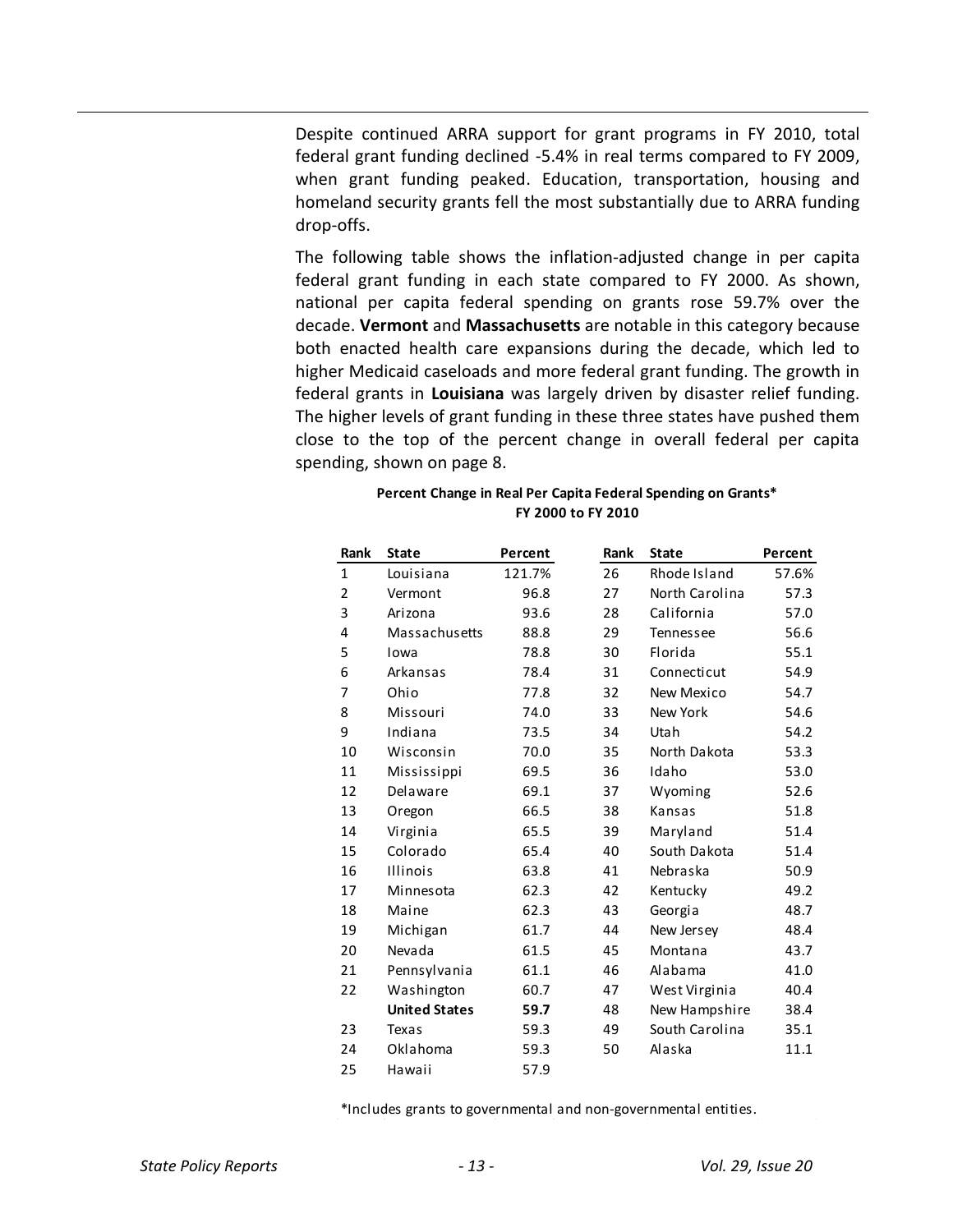Despite continued ARRA support for grant programs in FY 2010, total federal grant funding declined -5.4% in real terms compared to FY 2009, when grant funding peaked. Education, transportation, housing and homeland security grants fell the most substantially due to ARRA funding drop-offs.

The following table shows the inflation-adjusted change in per capita federal grant funding in each state compared to FY 2000. As shown, national per capita federal spending on grants rose 59.7% over the decade. **Vermont** and **Massachusetts** are notable in this category because both enacted health care expansions during the decade, which led to higher Medicaid caseloads and more federal grant funding. The growth in federal grants in **Louisiana** was largely driven by disaster relief funding. The higher levels of grant funding in these three states have pushed them close to the top of the percent change in overall federal per capita spending, shown on page 8.

| Rank         | <b>State</b>         | Percent | Rank | <b>State</b>   | Percent |
|--------------|----------------------|---------|------|----------------|---------|
| $\mathbf{1}$ | Louisiana            | 121.7%  | 26   | Rhode Island   | 57.6%   |
| 2            | Vermont              | 96.8    | 27   | North Carolina | 57.3    |
| 3            | Arizona              | 93.6    | 28   | California     | 57.0    |
| 4            | Massachusetts        | 88.8    | 29   | Tennessee      | 56.6    |
| 5            | Iowa                 | 78.8    | 30   | Florida        | 55.1    |
| 6            | Arkansas             | 78.4    | 31   | Connecticut    | 54.9    |
| 7            | Ohio                 | 77.8    | 32   | New Mexico     | 54.7    |
| 8            | Missouri             | 74.0    | 33   | New York       | 54.6    |
| 9            | Indiana              | 73.5    | 34   | Utah           | 54.2    |
| 10           | Wisconsin            | 70.0    | 35   | North Dakota   | 53.3    |
| 11           | Mississippi          | 69.5    | 36   | Idaho          | 53.0    |
| 12           | Delaware             | 69.1    | 37   | Wyoming        | 52.6    |
| 13           | Oregon               | 66.5    | 38   | Kansas         | 51.8    |
| 14           | Virginia             | 65.5    | 39   | Maryland       | 51.4    |
| 15           | Colorado             | 65.4    | 40   | South Dakota   | 51.4    |
| 16           | <b>Illinois</b>      | 63.8    | 41   | Nebraska       | 50.9    |
| 17           | Minnesota            | 62.3    | 42   | Kentucky       | 49.2    |
| 18           | Maine                | 62.3    | 43   | Georgia        | 48.7    |
| 19           | Michigan             | 61.7    | 44   | New Jersey     | 48.4    |
| 20           | Nevada               | 61.5    | 45   | Montana        | 43.7    |
| 21           | Pennsylvania         | 61.1    | 46   | Alabama        | 41.0    |
| 22           | Washington           | 60.7    | 47   | West Virginia  | 40.4    |
|              | <b>United States</b> | 59.7    | 48   | New Hampshire  | 38.4    |
| 23           | Texas                | 59.3    | 49   | South Carolina | 35.1    |
| 24           | Oklahoma             | 59.3    | 50   | Alaska         | 11.1    |
| 25           | Hawaii               | 57.9    |      |                |         |

### **Percent Change in Real Per Capita Federal Spending on Grants\* FY 2000 to FY 2010**

\*Includes grants to governmental and non-governmental entities.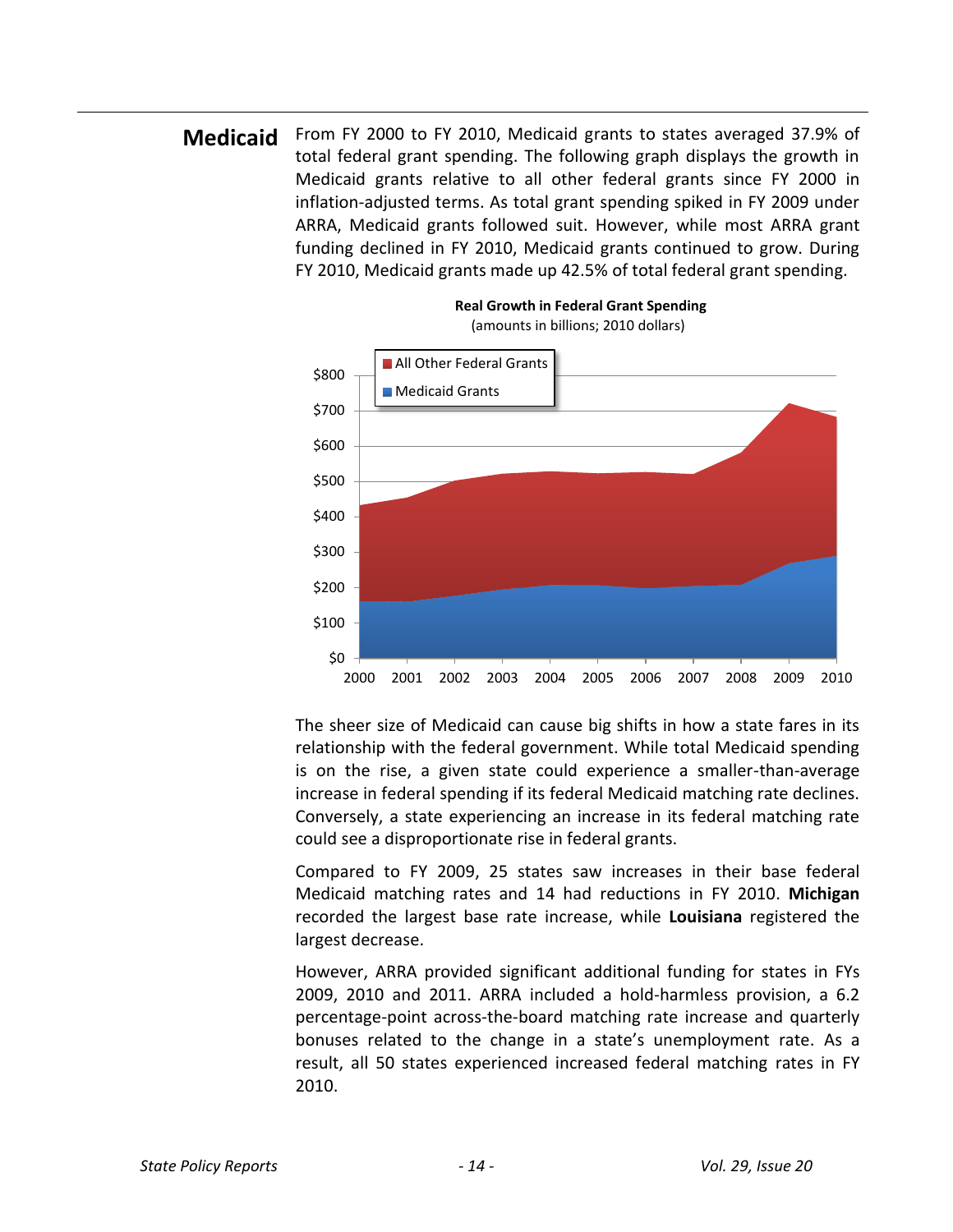**Medicaid** From FY 2000 to FY 2010, Medicaid grants to states averaged 37.9% of total federal grant spending. The following graph displays the growth in Medicaid grants relative to all other federal grants since FY 2000 in inflation-adjusted terms. As total grant spending spiked in FY 2009 under ARRA, Medicaid grants followed suit. However, while most ARRA grant funding declined in FY 2010, Medicaid grants continued to grow. During FY 2010, Medicaid grants made up 42.5% of total federal grant spending.



The sheer size of Medicaid can cause big shifts in how a state fares in its relationship with the federal government. While total Medicaid spending is on the rise, a given state could experience a smaller-than-average increase in federal spending if its federal Medicaid matching rate declines. Conversely, a state experiencing an increase in its federal matching rate could see a disproportionate rise in federal grants.

Compared to FY 2009, 25 states saw increases in their base federal Medicaid matching rates and 14 had reductions in FY 2010. **Michigan** recorded the largest base rate increase, while **Louisiana** registered the largest decrease.

However, ARRA provided significant additional funding for states in FYs 2009, 2010 and 2011. ARRA included a hold-harmless provision, a 6.2 percentage-point across-the-board matching rate increase and quarterly bonuses related to the change in a state's unemployment rate. As a result, all 50 states experienced increased federal matching rates in FY 2010.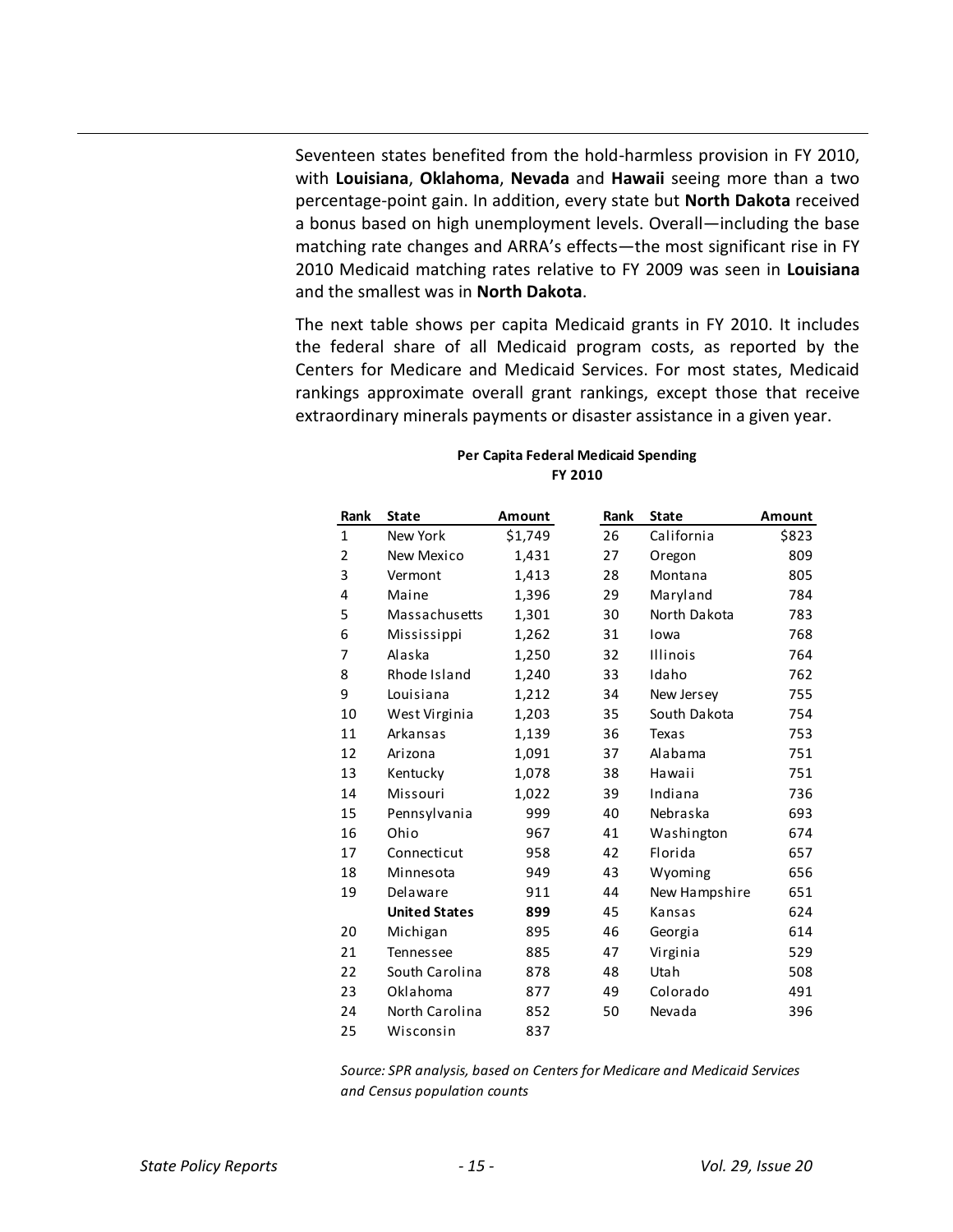Seventeen states benefited from the hold-harmless provision in FY 2010, with **Louisiana**, **Oklahoma**, **Nevada** and **Hawaii** seeing more than a two percentage-point gain. In addition, every state but **North Dakota** received a bonus based on high unemployment levels. Overall—including the base matching rate changes and ARRA's effects—the most significant rise in FY 2010 Medicaid matching rates relative to FY 2009 was seen in **Louisiana** and the smallest was in **North Dakota**.

The next table shows per capita Medicaid grants in FY 2010. It includes the federal share of all Medicaid program costs, as reported by the Centers for Medicare and Medicaid Services. For most states, Medicaid rankings approximate overall grant rankings, except those that receive extraordinary minerals payments or disaster assistance in a given year.

### **Per Capita Federal Medicaid Spending FY 2010**

| Rank         | <b>State</b>         | Amount  | Rank | <b>State</b>    | <b>Amount</b> |
|--------------|----------------------|---------|------|-----------------|---------------|
| $\mathbf{1}$ | New York             | \$1,749 | 26   | California      | \$823         |
| 2            | New Mexico           | 1,431   | 27   | Oregon          | 809           |
| 3            | Vermont              | 1,413   | 28   | Montana         | 805           |
| 4            | Maine                | 1,396   | 29   | Maryland        | 784           |
| 5            | Massachusetts        | 1,301   | 30   | North Dakota    | 783           |
| 6            | Mississippi          | 1,262   | 31   | Iowa            | 768           |
| 7            | Alaska               | 1,250   | 32   | <b>Illinois</b> | 764           |
| 8            | Rhode Island         | 1,240   | 33   | Idaho           | 762           |
| 9            | Louisiana            | 1,212   | 34   | New Jersey      | 755           |
| 10           | West Virginia        | 1,203   | 35   | South Dakota    | 754           |
| 11           | Arkansas             | 1,139   | 36   | Texas           | 753           |
| 12           | Arizona              | 1,091   | 37   | Alabama         | 751           |
| 13           | Kentucky             | 1,078   | 38   | Hawaii          | 751           |
| 14           | Missouri             | 1,022   | 39   | Indiana         | 736           |
| 15           | Pennsylvania         | 999     | 40   | Nebraska        | 693           |
| 16           | Ohio                 | 967     | 41   | Washington      | 674           |
| 17           | Connecticut          | 958     | 42   | Florida         | 657           |
| 18           | Minnesota            | 949     | 43   | Wyoming         | 656           |
| 19           | Delaware             | 911     | 44   | New Hampshire   | 651           |
|              | <b>United States</b> | 899     | 45   | Kansas          | 624           |
| 20           | Michigan             | 895     | 46   | Georgia         | 614           |
| 21           | Tennessee            | 885     | 47   | Virginia        | 529           |
| 22           | South Carolina       | 878     | 48   | Utah            | 508           |
| 23           | Oklahoma             | 877     | 49   | Colorado        | 491           |
| 24           | North Carolina       | 852     | 50   | Nevada          | 396           |
| 25           | Wisconsin            | 837     |      |                 |               |
|              |                      |         |      |                 |               |

*Source: SPR analysis, based on Centers for Medicare and Medicaid Services and Census population counts*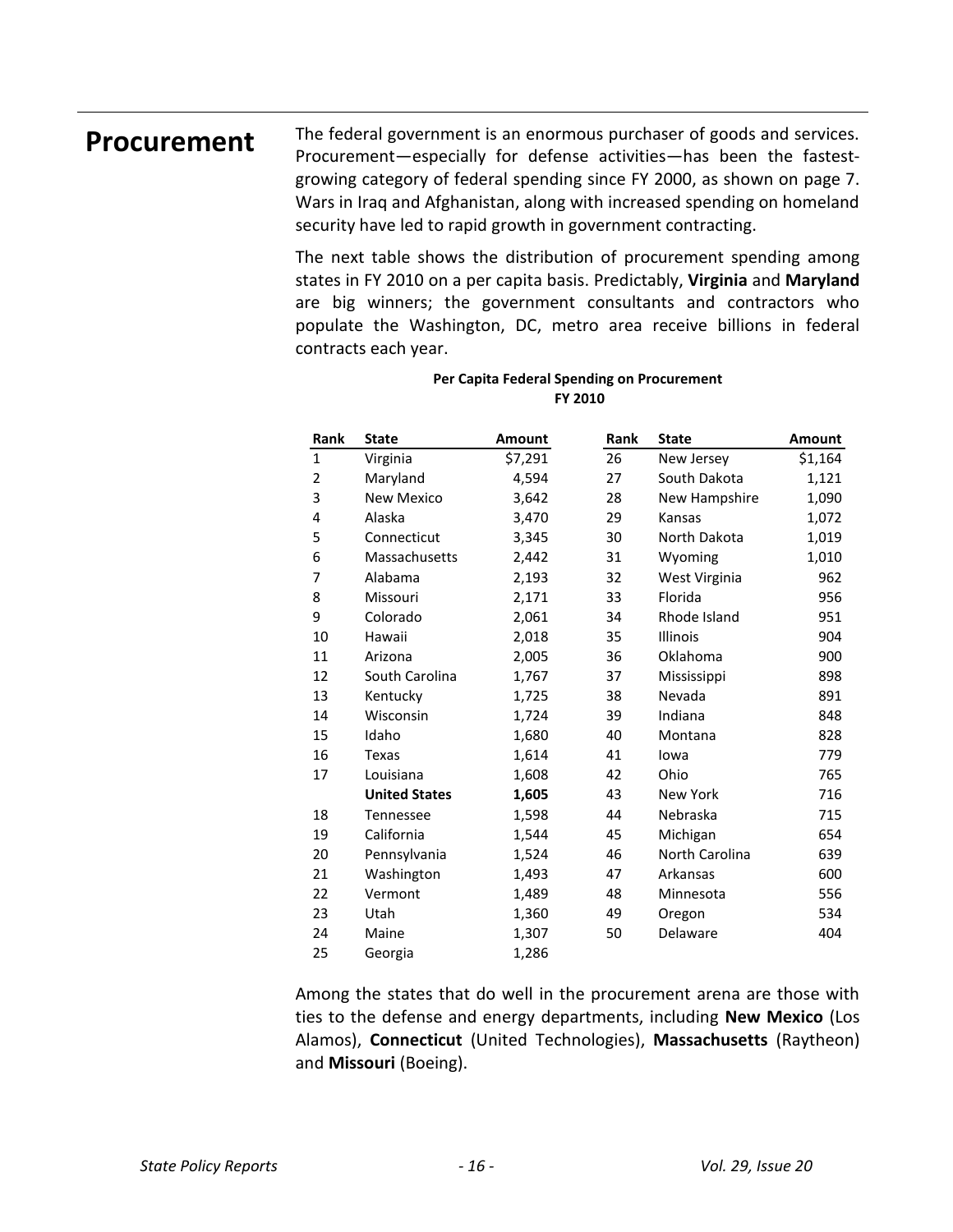**Procurement** The federal government is an enormous purchaser of goods and services. Procurement—especially for defense activities—has been the fastestgrowing category of federal spending since FY 2000, as shown on page 7. Wars in Iraq and Afghanistan, along with increased spending on homeland security have led to rapid growth in government contracting.

> The next table shows the distribution of procurement spending among states in FY 2010 on a per capita basis. Predictably, **Virginia** and **Maryland** are big winners; the government consultants and contractors who populate the Washington, DC, metro area receive billions in federal contracts each year.

| Rank         | <b>State</b>         | Amount  | Rank | <b>State</b>    | Amount  |
|--------------|----------------------|---------|------|-----------------|---------|
| $\mathbf{1}$ | Virginia             | \$7,291 | 26   | New Jersey      | \$1,164 |
| 2            | Maryland             | 4,594   | 27   | South Dakota    | 1,121   |
| 3            | <b>New Mexico</b>    | 3,642   | 28   | New Hampshire   | 1,090   |
| 4            | Alaska               | 3,470   | 29   | Kansas          | 1,072   |
| 5            | Connecticut          | 3,345   | 30   | North Dakota    | 1,019   |
| 6            | Massachusetts        | 2,442   | 31   | Wyoming         | 1,010   |
| 7            | Alabama              | 2,193   | 32   | West Virginia   | 962     |
| 8            | Missouri             | 2,171   | 33   | Florida         | 956     |
| 9            | Colorado             | 2,061   | 34   | Rhode Island    | 951     |
| 10           | Hawaii               | 2,018   | 35   | <b>Illinois</b> | 904     |
| 11           | Arizona              | 2,005   | 36   | Oklahoma        | 900     |
| 12           | South Carolina       | 1,767   | 37   | Mississippi     | 898     |
| 13           | Kentucky             | 1,725   | 38   | Nevada          | 891     |
| 14           | Wisconsin            | 1,724   | 39   | Indiana         | 848     |
| 15           | Idaho                | 1,680   | 40   | Montana         | 828     |
| 16           | Texas                | 1,614   | 41   | lowa            | 779     |
| 17           | Louisiana            | 1,608   | 42   | Ohio            | 765     |
|              | <b>United States</b> | 1,605   | 43   | <b>New York</b> | 716     |
| 18           | <b>Tennessee</b>     | 1,598   | 44   | Nebraska        | 715     |
| 19           | California           | 1,544   | 45   | Michigan        | 654     |
| 20           | Pennsylvania         | 1,524   | 46   | North Carolina  | 639     |
| 21           | Washington           | 1,493   | 47   | Arkansas        | 600     |
| 22           | Vermont              | 1,489   | 48   | Minnesota       | 556     |
| 23           | Utah                 | 1,360   | 49   | Oregon          | 534     |
| 24           | Maine                | 1,307   | 50   | Delaware        | 404     |
| 25           | Georgia              | 1,286   |      |                 |         |

### **Per Capita Federal Spending on Procurement FY 2010**

Among the states that do well in the procurement arena are those with ties to the defense and energy departments, including **New Mexico** (Los Alamos), **Connecticut** (United Technologies), **Massachusetts** (Raytheon) and **Missouri** (Boeing).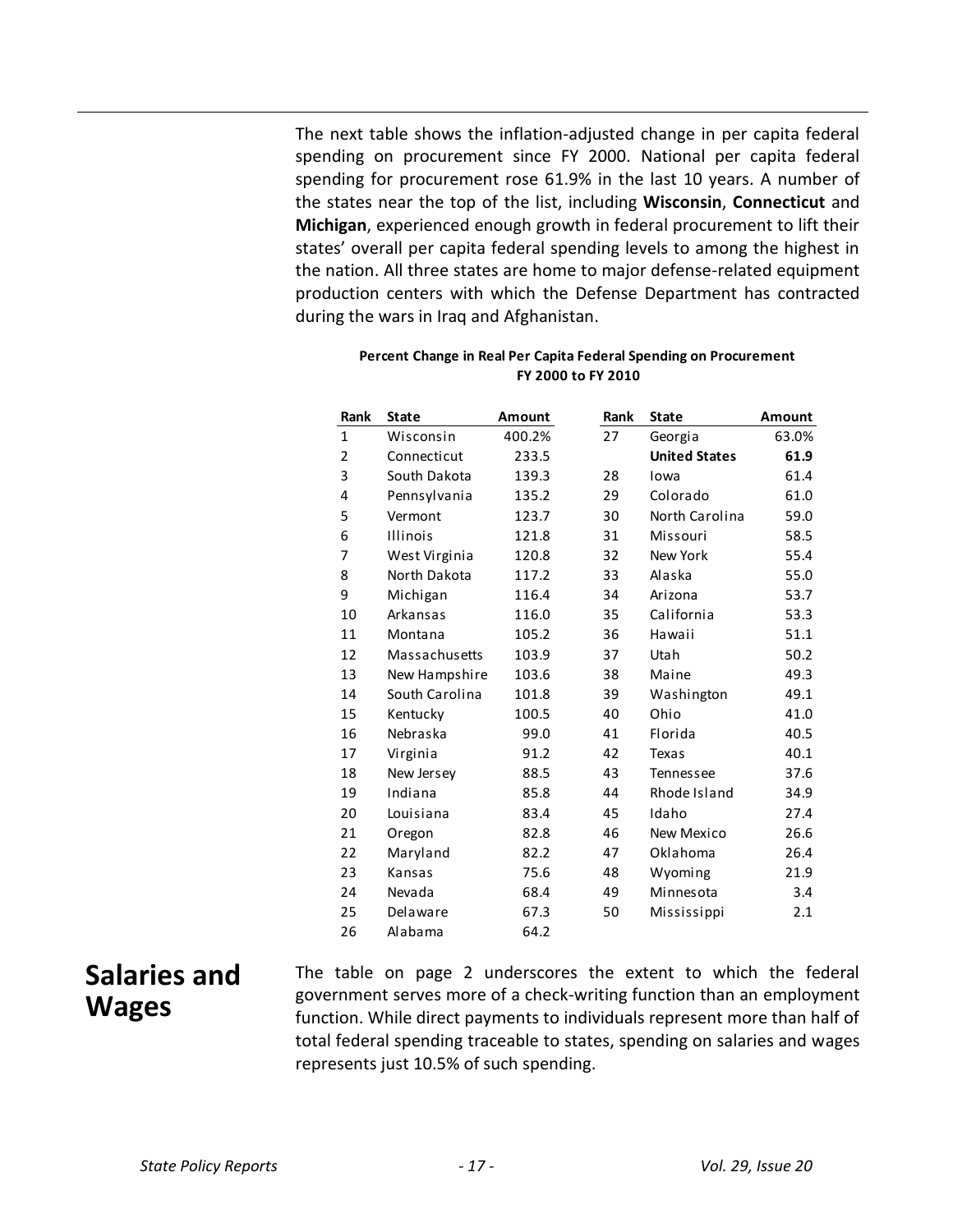The next table shows the inflation-adjusted change in per capita federal spending on procurement since FY 2000. National per capita federal spending for procurement rose 61.9% in the last 10 years. A number of the states near the top of the list, including **Wisconsin**, **Connecticut** and **Michigan**, experienced enough growth in federal procurement to lift their states' overall per capita federal spending levels to among the highest in the nation. All three states are home to major defense-related equipment production centers with which the Defense Department has contracted during the wars in Iraq and Afghanistan.

| Rank           | <b>State</b>    | Amount | Rank | <b>State</b>         | Amount |
|----------------|-----------------|--------|------|----------------------|--------|
| $\mathbf{1}$   |                 | 400.2% | 27   |                      | 63.0%  |
|                | Wisconsin       |        |      | Georgia              |        |
| 2              | Connecticut     | 233.5  |      | <b>United States</b> | 61.9   |
| 3              | South Dakota    | 139.3  | 28   | Iowa                 | 61.4   |
| 4              | Pennsylvania    | 135.2  | 29   | Colorado             | 61.0   |
| 5              | Vermont         | 123.7  | 30   | North Carolina       | 59.0   |
| 6              | <b>Illinois</b> | 121.8  | 31   | Missouri             | 58.5   |
| $\overline{7}$ | West Virginia   | 120.8  | 32   | New York             | 55.4   |
| 8              | North Dakota    | 117.2  | 33   | Alaska               | 55.0   |
| 9              | Michigan        | 116.4  | 34   | Arizona              | 53.7   |
| 10             | Arkansas        | 116.0  | 35   | California           | 53.3   |
| 11             | Montana         | 105.2  | 36   | Hawaii               | 51.1   |
| 12             | Massachusetts   | 103.9  | 37   | Utah                 | 50.2   |
| 13             | New Hampshire   | 103.6  | 38   | Maine                | 49.3   |
| 14             | South Carolina  | 101.8  | 39   | Washington           | 49.1   |
| 15             | Kentucky        | 100.5  | 40   | Ohio                 | 41.0   |
| 16             | Nebraska        | 99.0   | 41   | Florida              | 40.5   |
| 17             | Virginia        | 91.2   | 42   | Texas                | 40.1   |
| 18             | New Jersey      | 88.5   | 43   | Tennessee            | 37.6   |
| 19             | Indiana         | 85.8   | 44   | Rhode Island         | 34.9   |
| 20             | Louisiana       | 83.4   | 45   | Idaho                | 27.4   |
| 21             | Oregon          | 82.8   | 46   | New Mexico           | 26.6   |
| 22             | Maryland        | 82.2   | 47   | Oklahoma             | 26.4   |
| 23             | Kansas          | 75.6   | 48   | Wyoming              | 21.9   |
| 24             | Nevada          | 68.4   | 49   | Minnesota            | 3.4    |
| 25             | Delaware        | 67.3   | 50   | Mississippi          | 2.1    |
| 26             | Alabama         | 64.2   |      |                      |        |

### **Percent Change in Real Per Capita Federal Spending on Procurement FY 2000 to FY 2010**

# **Salaries and Wages**

The table on page 2 underscores the extent to which the federal government serves more of a check-writing function than an employment function. While direct payments to individuals represent more than half of total federal spending traceable to states, spending on salaries and wages represents just 10.5% of such spending.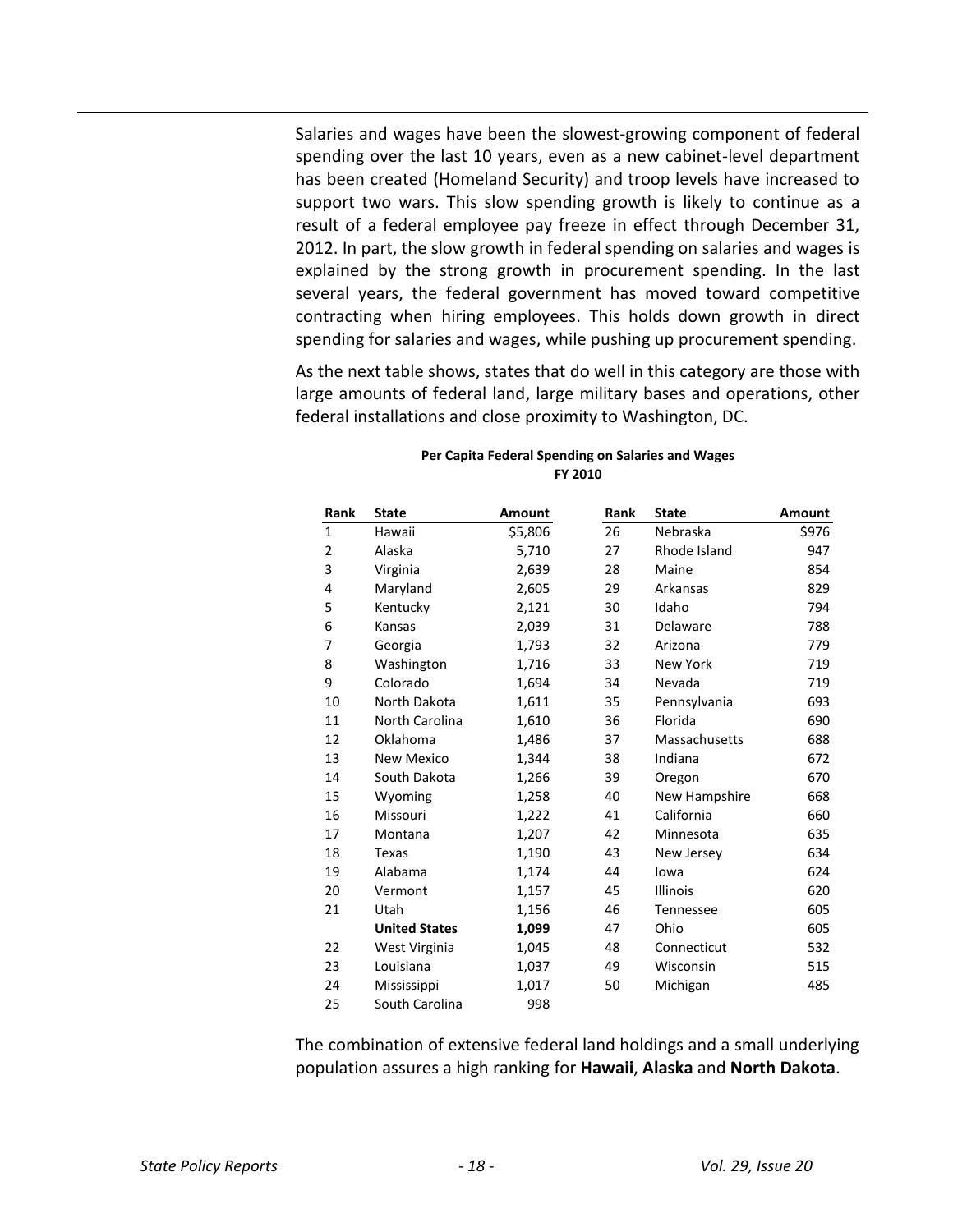Salaries and wages have been the slowest-growing component of federal spending over the last 10 years, even as a new cabinet-level department has been created (Homeland Security) and troop levels have increased to support two wars. This slow spending growth is likely to continue as a result of a federal employee pay freeze in effect through December 31, 2012. In part, the slow growth in federal spending on salaries and wages is explained by the strong growth in procurement spending. In the last several years, the federal government has moved toward competitive contracting when hiring employees. This holds down growth in direct spending for salaries and wages, while pushing up procurement spending.

As the next table shows, states that do well in this category are those with large amounts of federal land, large military bases and operations, other federal installations and close proximity to Washington, DC.

| Rank           | <b>State</b>         | Amount  | Rank | <b>State</b>    | Amount |
|----------------|----------------------|---------|------|-----------------|--------|
| $\mathbf{1}$   | Hawaii               | \$5,806 | 26   | Nebraska        | \$976  |
| $\overline{2}$ | Alaska               | 5,710   | 27   | Rhode Island    | 947    |
| 3              | Virginia             | 2,639   | 28   | Maine           | 854    |
| 4              | Maryland             | 2,605   | 29   | Arkansas        | 829    |
| 5              | Kentucky             | 2,121   | 30   | Idaho           | 794    |
| 6              | Kansas               | 2,039   | 31   | Delaware        | 788    |
| 7              | Georgia              | 1,793   | 32   | Arizona         | 779    |
| 8              | Washington           | 1,716   | 33   | <b>New York</b> | 719    |
| 9              | Colorado             | 1,694   | 34   | Nevada          | 719    |
| 10             | North Dakota         | 1,611   | 35   | Pennsylvania    | 693    |
| 11             | North Carolina       | 1,610   | 36   | Florida         | 690    |
| 12             | Oklahoma             | 1,486   | 37   | Massachusetts   | 688    |
| 13             | <b>New Mexico</b>    | 1,344   | 38   | Indiana         | 672    |
| 14             | South Dakota         | 1,266   | 39   | Oregon          | 670    |
| 15             | Wyoming              | 1,258   | 40   | New Hampshire   | 668    |
| 16             | Missouri             | 1,222   | 41   | California      | 660    |
| 17             | Montana              | 1,207   | 42   | Minnesota       | 635    |
| 18             | Texas                | 1,190   | 43   | New Jersey      | 634    |
| 19             | Alabama              | 1,174   | 44   | Iowa            | 624    |
| 20             | Vermont              | 1,157   | 45   | <b>Illinois</b> | 620    |
| 21             | Utah                 | 1,156   | 46   | Tennessee       | 605    |
|                | <b>United States</b> | 1,099   | 47   | Ohio            | 605    |
| 22             | West Virginia        | 1,045   | 48   | Connecticut     | 532    |
| 23             | Louisiana            | 1,037   | 49   | Wisconsin       | 515    |
| 24             | Mississippi          | 1,017   | 50   | Michigan        | 485    |
| 25             | South Carolina       | 998     |      |                 |        |

### **Per Capita Federal Spending on Salaries and Wages FY 2010**

The combination of extensive federal land holdings and a small underlying population assures a high ranking for **Hawaii**, **Alaska** and **North Dakota**.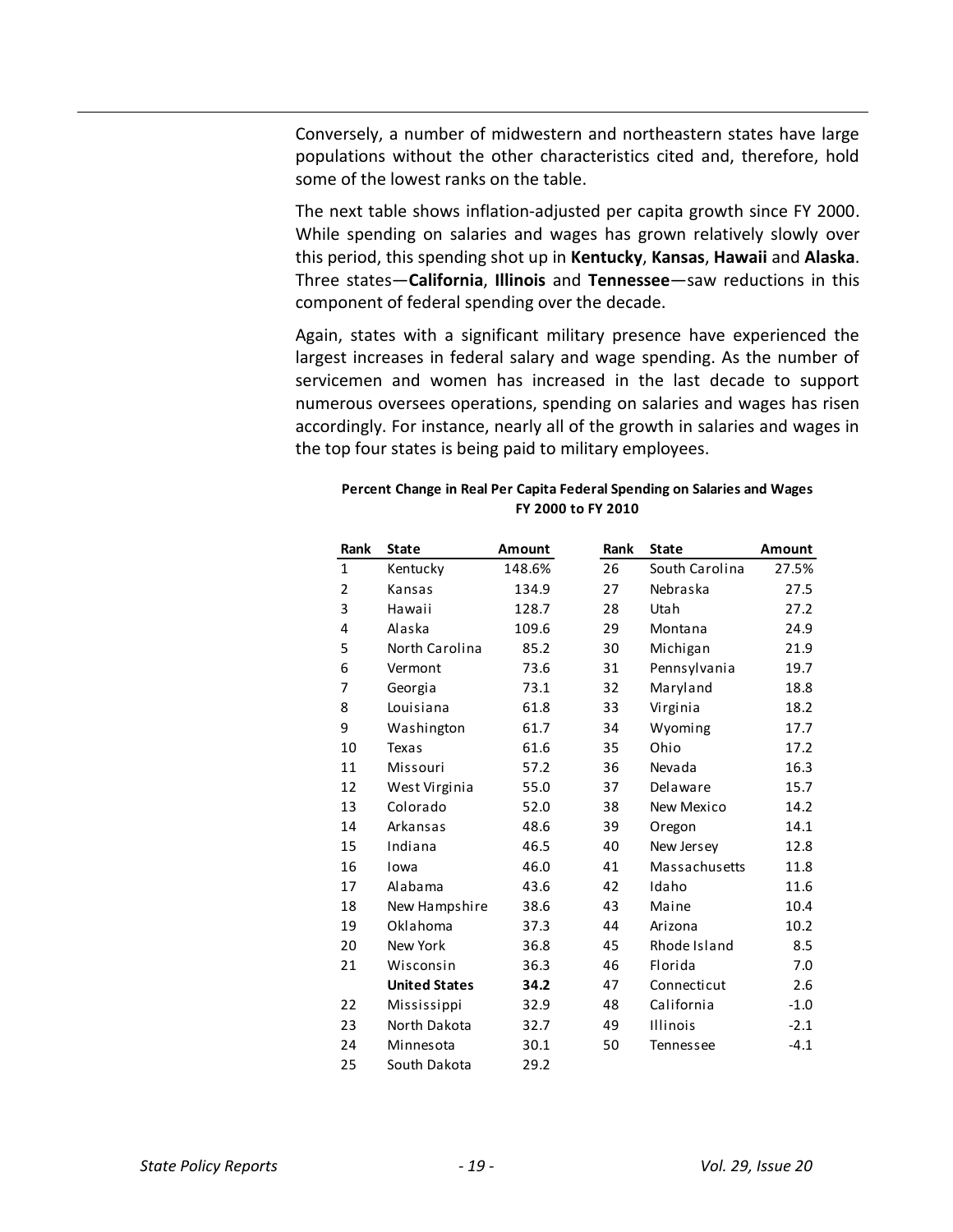Conversely, a number of midwestern and northeastern states have large populations without the other characteristics cited and, therefore, hold some of the lowest ranks on the table.

The next table shows inflation-adjusted per capita growth since FY 2000. While spending on salaries and wages has grown relatively slowly over this period, this spending shot up in **Kentucky**, **Kansas**, **Hawaii** and **Alaska**. Three states—**California**, **Illinois** and **Tennessee**—saw reductions in this component of federal spending over the decade.

Again, states with a significant military presence have experienced the largest increases in federal salary and wage spending. As the number of servicemen and women has increased in the last decade to support numerous oversees operations, spending on salaries and wages has risen accordingly. For instance, nearly all of the growth in salaries and wages in the top four states is being paid to military employees.

| Rank | <b>State</b>         | Amount | Rank | <b>State</b>    | <b>Amount</b> |
|------|----------------------|--------|------|-----------------|---------------|
| 1    | Kentucky             | 148.6% | 26   | South Carolina  | 27.5%         |
| 2    | Kansas               | 134.9  | 27   | Nebraska        | 27.5          |
| 3    | Hawaii               | 128.7  | 28   | Utah            | 27.2          |
| 4    | Alaska               | 109.6  | 29   | Montana         | 24.9          |
| 5    | North Carolina       | 85.2   | 30   | Michigan        | 21.9          |
| 6    | Vermont              | 73.6   | 31   | Pennsylvania    | 19.7          |
| 7    | Georgia              | 73.1   | 32   | Maryland        | 18.8          |
| 8    | Louisiana            | 61.8   | 33   | Virginia        | 18.2          |
| 9    | Washington           | 61.7   | 34   | Wyoming         | 17.7          |
| 10   | Texas                | 61.6   | 35   | Ohio            | 17.2          |
| 11   | Missouri             | 57.2   | 36   | Nevada          | 16.3          |
| 12   | West Virginia        | 55.0   | 37   | Delaware        | 15.7          |
| 13   | Colorado             | 52.0   | 38   | New Mexico      | 14.2          |
| 14   | Arkansas             | 48.6   | 39   | Oregon          | 14.1          |
| 15   | Indiana              | 46.5   | 40   | New Jersey      | 12.8          |
| 16   | Iowa                 | 46.0   | 41   | Massachusetts   | 11.8          |
| 17   | Alabama              | 43.6   | 42   | Idaho           | 11.6          |
| 18   | New Hampshire        | 38.6   | 43   | Maine           | 10.4          |
| 19   | Oklahoma             | 37.3   | 44   | Arizona         | 10.2          |
| 20   | New York             | 36.8   | 45   | Rhode Island    | 8.5           |
| 21   | Wisconsin            | 36.3   | 46   | Florida         | 7.0           |
|      | <b>United States</b> | 34.2   | 47   | Connecticut     | 2.6           |
| 22   | Mississippi          | 32.9   | 48   | California      | $-1.0$        |
| 23   | North Dakota         | 32.7   | 49   | <b>Illinois</b> | $-2.1$        |
| 24   | Minnesota            | 30.1   | 50   | Tennessee       | $-4.1$        |
| 25   | South Dakota         | 29.2   |      |                 |               |

**Percent Change in Real Per Capita Federal Spending on Salaries and Wages FY 2000 to FY 2010**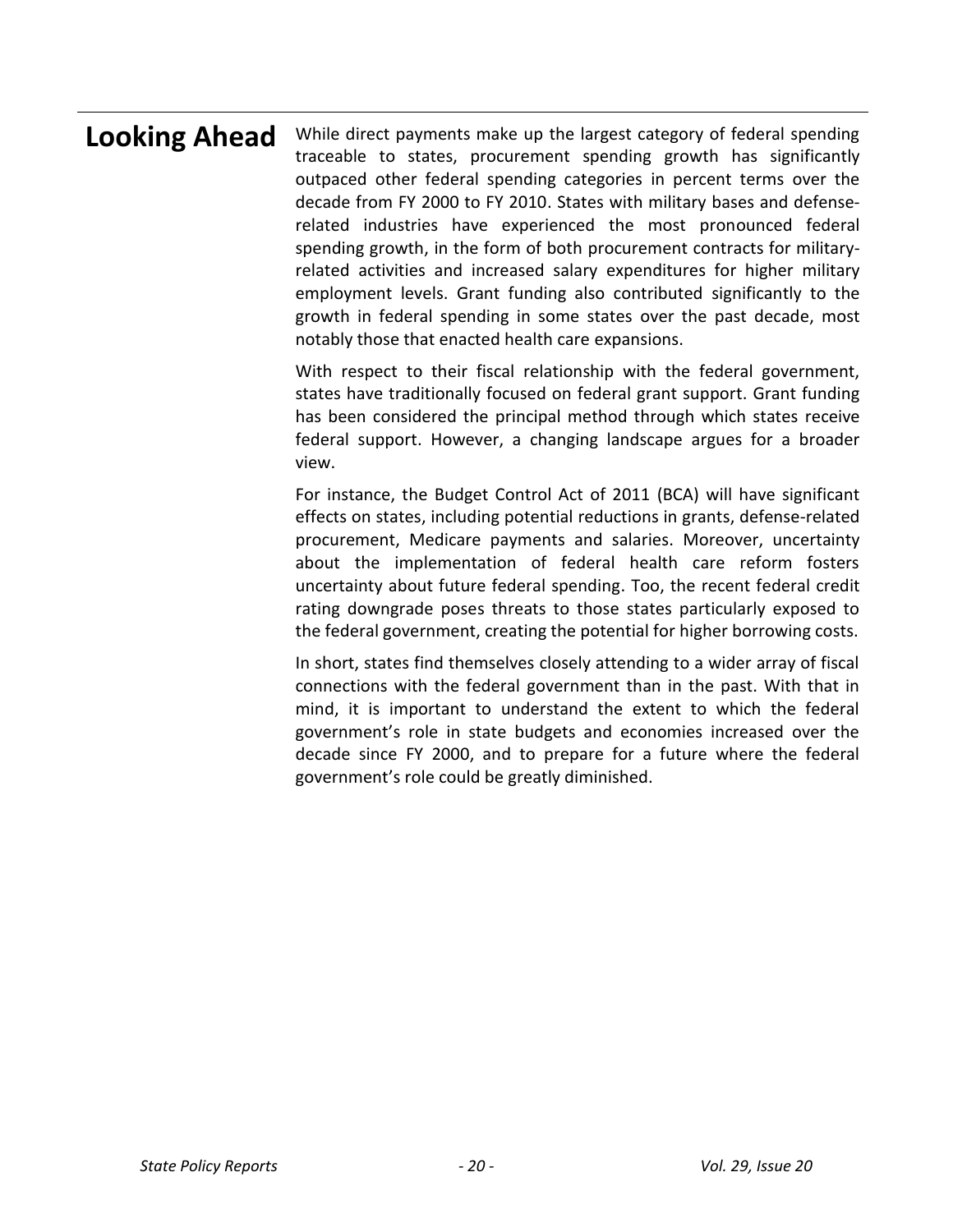**Looking Ahead** While direct payments make up the largest category of federal spending traceable to states, procurement spending growth has significantly outpaced other federal spending categories in percent terms over the decade from FY 2000 to FY 2010. States with military bases and defenserelated industries have experienced the most pronounced federal spending growth, in the form of both procurement contracts for militaryrelated activities and increased salary expenditures for higher military employment levels. Grant funding also contributed significantly to the growth in federal spending in some states over the past decade, most notably those that enacted health care expansions.

> With respect to their fiscal relationship with the federal government, states have traditionally focused on federal grant support. Grant funding has been considered the principal method through which states receive federal support. However, a changing landscape argues for a broader view.

> For instance, the Budget Control Act of 2011 (BCA) will have significant effects on states, including potential reductions in grants, defense-related procurement, Medicare payments and salaries. Moreover, uncertainty about the implementation of federal health care reform fosters uncertainty about future federal spending. Too, the recent federal credit rating downgrade poses threats to those states particularly exposed to the federal government, creating the potential for higher borrowing costs.

> In short, states find themselves closely attending to a wider array of fiscal connections with the federal government than in the past. With that in mind, it is important to understand the extent to which the federal government's role in state budgets and economies increased over the decade since FY 2000, and to prepare for a future where the federal government's role could be greatly diminished.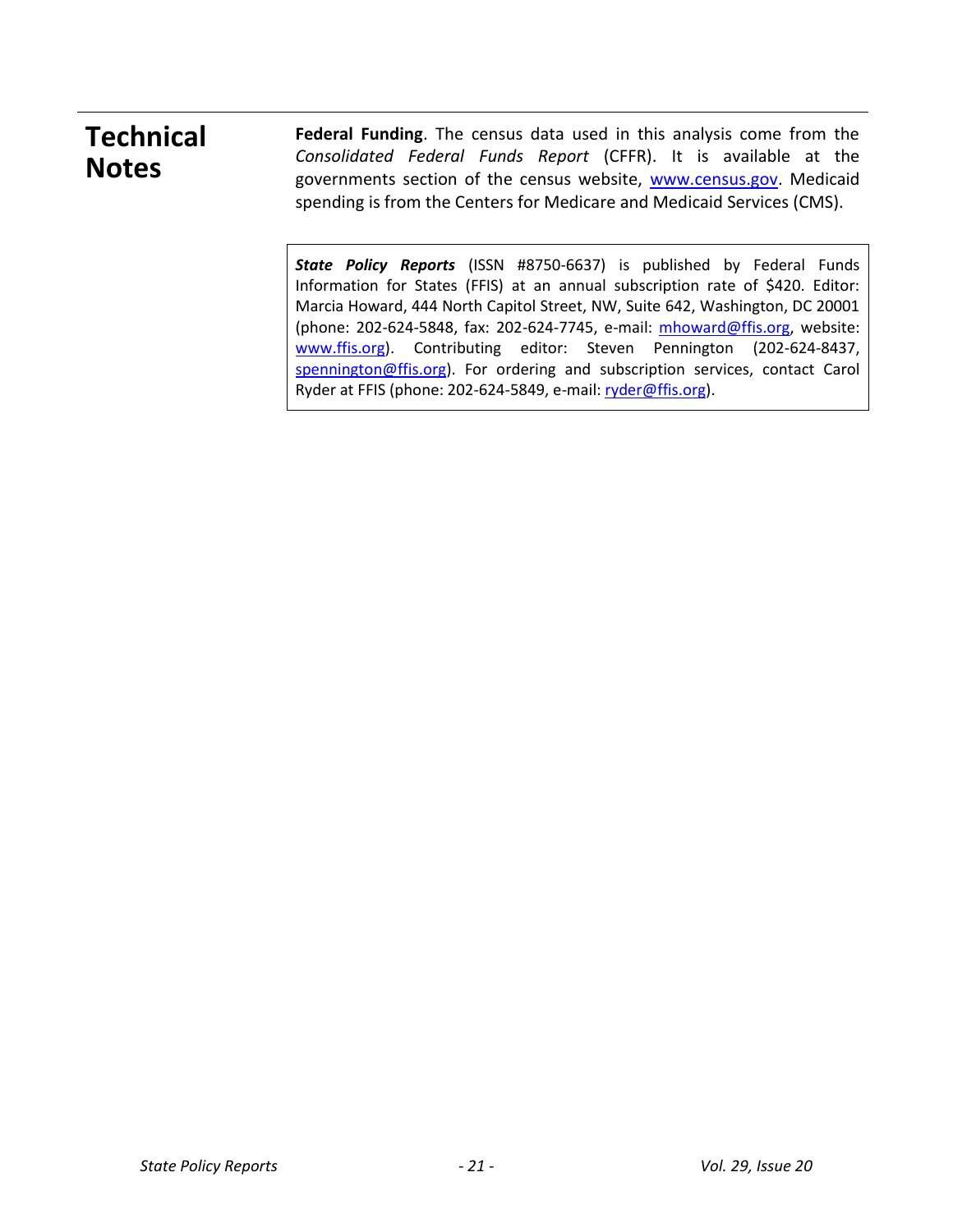# **Technical Notes**

**Federal Funding**. The census data used in this analysis come from the *Consolidated Federal Funds Report* (CFFR). It is available at the governments section of the census website, [www.census.gov.](http://www.census.gov/) Medicaid spending is from the Centers for Medicare and Medicaid Services (CMS).

*State Policy Reports* (ISSN #8750-6637) is published by Federal Funds Information for States (FFIS) at an annual subscription rate of \$420. Editor: Marcia Howard, 444 North Capitol Street, NW, Suite 642, Washington, DC 20001 (phone: 202-624-5848, fax: 202-624-7745, e-mail: [mhoward@ffis.org,](mailto:mhoward@sso.org) website: [www.ffis.org\)](http://www.ffis.org/). Contributing editor: Steven Pennington (202-624-8437, [spennington@ffis.org\)](mailto:spennington@ffis.org). For ordering and subscription services, contact Carol Ryder at FFIS (phone: 202-624-5849, e-mail: [ryder@ffis.org\)](mailto:cryder@ffis.org).